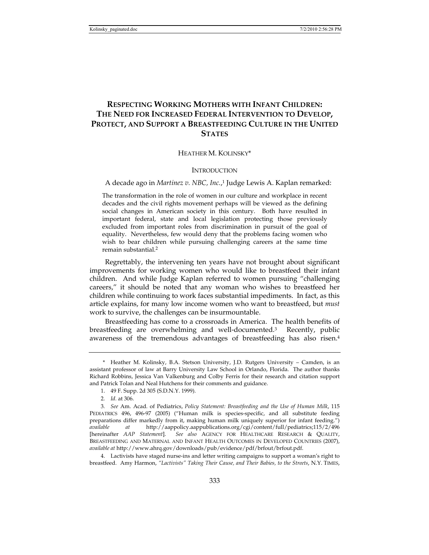# **RESPECTING WORKING MOTHERS WITH INFANT CHILDREN: THE NEED FOR INCREASED FEDERAL INTERVENTION TO DEVELOP, PROTECT, AND SUPPORT A BREASTFEEDING CULTURE IN THE UNITED STATES**

HEATHER M. KOLINSKY\*

# **INTRODUCTION**

A decade ago in *Martinez v. NBC, Inc.*, 1 Judge Lewis A. Kaplan remarked:

The transformation in the role of women in our culture and workplace in recent decades and the civil rights movement perhaps will be viewed as the defining social changes in American society in this century. Both have resulted in important federal, state and local legislation protecting those previously excluded from important roles from discrimination in pursuit of the goal of equality. Nevertheless, few would deny that the problems facing women who wish to bear children while pursuing challenging careers at the same time remain substantial.2

Regrettably, the intervening ten years have not brought about significant improvements for working women who would like to breastfeed their infant children. And while Judge Kaplan referred to women pursuing "challenging careers," it should be noted that any woman who wishes to breastfeed her children while continuing to work faces substantial impediments. In fact, as this article explains, for many low income women who want to breastfeed, but *must* work to survive, the challenges can be insurmountable.

Breastfeeding has come to a crossroads in America. The health benefits of breastfeeding are overwhelming and well-documented.3 Recently, public awareness of the tremendous advantages of breastfeeding has also risen.4

 <sup>\*</sup> Heather M. Kolinsky, B.A. Stetson University, J.D. Rutgers University – Camden, is an assistant professor of law at Barry University Law School in Orlando, Florida. The author thanks Richard Robbins, Jessica Van Valkenburg and Colby Ferris for their research and citation support and Patrick Tolan and Neal Hutchens for their comments and guidance.

 <sup>1. 49</sup> F. Supp. 2d 305 (S.D.N.Y. 1999).

<sup>2</sup>*. Id.* at 306.

<sup>3</sup>*. See* Am. Acad. of Pediatrics, *Policy Statement: Breastfeeding and the Use of Human Milk*, 115 PEDIATRICS 496, 496-97 (2005) ("Human milk is species-specific, and all substitute feeding preparations differ markedly from it, making human milk uniquely superior for infant feeding.") *available at* http://aappolicy.aappublications.org/cgi/content/full/pediatrics;115/2/496 [hereinafter *AAP Statement*]. *See also* AGENCY FOR HEALTHCARE RESEARCH & QUALITY, BREASTFEEDING AND MATERNAL AND INFANT HEALTH OUTCOMES IN DEVELOPED COUNTRIES (2007), *available at* http://www.ahrq.gov/downloads/pub/evidence/pdf/brfout/brfout.pdf.

 <sup>4.</sup> Lactivists have staged nurse-ins and letter writing campaigns to support a woman's right to breastfeed. Amy Harmon, *"Lactivists" Taking Their Cause, and Their Babies, to the Streets*, N.Y. TIMES,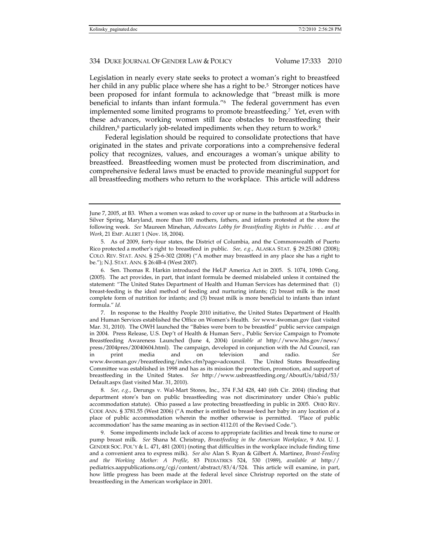Legislation in nearly every state seeks to protect a woman's right to breastfeed her child in any public place where she has a right to be.<sup>5</sup> Stronger notices have been proposed for infant formula to acknowledge that "breast milk is more beneficial to infants than infant formula."6 The federal government has even implemented some limited programs to promote breastfeeding.7 Yet, even with these advances, working women still face obstacles to breastfeeding their children,<sup>8</sup> particularly job-related impediments when they return to work.<sup>9</sup>

Federal legislation should be required to consolidate protections that have originated in the states and private corporations into a comprehensive federal policy that recognizes, values, and encourages a woman's unique ability to breastfeed. Breastfeeding women must be protected from discrimination, and comprehensive federal laws must be enacted to provide meaningful support for all breastfeeding mothers who return to the workplace. This article will address

 7. In response to the Healthy People 2010 initiative, the United States Department of Health and Human Services established the Office on Women's Health. *See* www.4woman.gov (last visited Mar. 31, 2010). The OWH launched the "Babies were born to be breastfed" public service campaign in 2004. Press Release, U.S. Dep't of Health & Human Serv., Public Service Campaign to Promote Breastfeeding Awareness Launched (June 4, 2004) (*available at* http://www.hhs.gov/news/ press/2004pres/20040604.html). The campaign, developed in conjunction with the Ad Council, ran in print media and on television and radio. *See* www.4woman.gov/breastfeeding/index.cfm?page=adcouncil. The United States Breastfeeding Committee was established in 1998 and has as its mission the protection, promotion, and support of breastfeeding in the United States. *See* http://www.usbreastfeeding.org/AboutUs/tabid/53/ Default.aspx (last visited Mar. 31, 2010).

8*. See, e.g.*, Derungs v. Wal-Mart Stores, Inc., 374 F.3d 428, 440 (6th Cir. 2004) (finding that department store's ban on public breastfeeding was not discriminatory under Ohio's public accommodation statute). Ohio passed a law protecting breastfeeding in public in 2005. OHIO REV. CODE ANN. § 3781.55 (West 2006) ("A mother is entitled to breast-feed her baby in any location of a place of public accommodation wherein the mother otherwise is permitted. 'Place of public accommodation' has the same meaning as in section 4112.01 of the Revised Code.").

 9. Some impediments include lack of access to appropriate facilities and break time to nurse or pump breast milk. *See* Shana M. Christrup, *Breastfeeding in the American Workplace*, 9 AM. U. J. GENDER SOC. POL'Y & L. 471, 481 (2001) (noting that difficulties in the workplace include finding time and a convenient area to express milk). *See also* Alan S. Ryan & Gilbert A. Martinez, *Breast-Feeding and the Working Mother: A Profile*, 83 PEDIATRICS 524, 530 (1989), *available at* http:// pediatrics.aappublications.org/cgi/content/abstract/83/4/524. This article will examine, in part, how little progress has been made at the federal level since Christrup reported on the state of breastfeeding in the American workplace in 2001.

June 7, 2005, at B3. When a women was asked to cover up or nurse in the bathroom at a Starbucks in Silver Spring, Maryland, more than 100 mothers, fathers, and infants protested at the store the following week. *See* Maureen Minehan, *Advocates Lobby for Breastfeeding Rights in Public . . . and at Work*, 21 EMP. ALERT 1 (Nov. 18, 2004).

 <sup>5.</sup> As of 2009, forty-four states, the District of Columbia, and the Commonwealth of Puerto Rico protected a mother's right to breastfeed in public. *See, e.g.*, ALASKA STAT. § 29.25.080 (2008); COLO. REV. STAT. ANN. § 25-6-302 (2008) ("A mother may breastfeed in any place she has a right to be."); N.J. STAT. ANN. § 26:4B-4 (West 2007).

 <sup>6.</sup> Sen. Thomas R. Harkin introduced the HeLP America Act in 2005. S. 1074, 109th Cong. (2005). The act provides, in part, that infant formula be deemed mislabeled unless it contained the statement: "The United States Department of Health and Human Services has determined that: (1) breast-feeding is the ideal method of feeding and nurturing infants; (2) breast milk is the most complete form of nutrition for infants; and (3) breast milk is more beneficial to infants than infant formula." *Id.*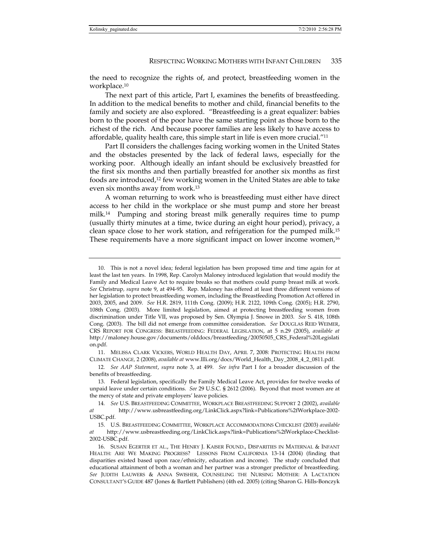the need to recognize the rights of, and protect, breastfeeding women in the workplace.10

The next part of this article, Part I, examines the benefits of breastfeeding. In addition to the medical benefits to mother and child, financial benefits to the family and society are also explored. "Breastfeeding is a great equalizer: babies born to the poorest of the poor have the same starting point as those born to the richest of the rich. And because poorer families are less likely to have access to affordable, quality health care, this simple start in life is even more crucial."11

Part II considers the challenges facing working women in the United States and the obstacles presented by the lack of federal laws, especially for the working poor. Although ideally an infant should be exclusively breastfed for the first six months and then partially breastfed for another six months as first foods are introduced,12 few working women in the United States are able to take even six months away from work.13

A woman returning to work who is breastfeeding must either have direct access to her child in the workplace or she must pump and store her breast milk.14 Pumping and storing breast milk generally requires time to pump (usually thirty minutes at a time, twice during an eight hour period), privacy, a clean space close to her work station, and refrigeration for the pumped milk.15 These requirements have a more significant impact on lower income women,<sup>16</sup>

 11. MELISSA CLARK VICKERS, WORLD HEALTH DAY, APRIL 7, 2008: PROTECTING HEALTH FROM CLIMATE CHANGE*,* 2 (2008), *available at* www.llli.org/docs/World\_Health\_Day\_2008\_4\_2\_0811.pdf.

 <sup>10.</sup> This is not a novel idea; federal legislation has been proposed time and time again for at least the last ten years. In 1998, Rep. Carolyn Maloney introduced legislation that would modify the Family and Medical Leave Act to require breaks so that mothers could pump breast milk at work. *See* Christrup*, supra* note 9, at 494-95. Rep. Maloney has offered at least three different versions of her legislation to protect breastfeeding women, including the Breastfeeding Promotion Act offered in 2003, 2005, and 2009. *See* H.R. 2819, 111th Cong. (2009); H.R. 2122, 109th Cong. (2005); H.R. 2790, 108th Cong. (2003). More limited legislation, aimed at protecting breastfeeding women from discrimination under Title VII, was proposed by Sen. Olympia J. Snowe in 2003. *See* S. 418, 108th Cong. (2003). The bill did not emerge from committee consideration. *See* DOUGLAS REID WEIMER, CRS REPORT FOR CONGRESS: BREASTFEEDING: FEDERAL LEGISLATION, at 5 n.29 (2005), *available at*  http://maloney.house.gov/documents/olddocs/breastfeeding/20050505\_CRS\_Federal%20Legislati on.pdf.

<sup>12</sup>*. See AAP Statement*, *supra* note 3, at 499. *See infra* Part I for a broader discussion of the benefits of breastfeeding.

 <sup>13.</sup> Federal legislation, specifically the Family Medical Leave Act, provides for twelve weeks of unpaid leave under certain conditions. *See* 29 U.S.C. § 2612 (2006). Beyond that most women are at the mercy of state and private employers' leave policies.

<sup>14</sup>*. See* U.S. BREASTFEEDING COMMITTEE, WORKPLACE BREASTFEEDING SUPPORT 2 (2002), *available at* http://www.usbreastfeeding.org/LinkClick.aspx?link=Publications%2fWorkplace-2002- USBC.pdf.

 <sup>15.</sup> U.S. BREASTFEEDING COMMITTEE, WORKPLACE ACCOMMODATIONS CHECKLIST (2003) *available at* http://www.usbreastfeeding.org/LinkClick.aspx?link=Publications%2fWorkplace-Checklist-2002-USBC.pdf.

 <sup>16.</sup> SUSAN EGERTER ET AL., THE HENRY J. KAISER FOUND., DISPARITIES IN MATERNAL & INFANT HEALTH: ARE WE MAKING PROGRESS? LESSONS FROM CALIFORNIA 13-14 (2004) (finding that disparities existed based upon race/ethnicity, education and income). The study concluded that educational attainment of both a woman and her partner was a stronger predictor of breastfeeding. *See* JUDITH LAUWERS & ANNA SWISHER, COUNSELING THE NURSING MOTHER: A LACTATION CONSULTANT'S GUIDE 487 (Jones & Bartlett Publishers) (4th ed. 2005) (citing Sharon G. Hills-Bonczyk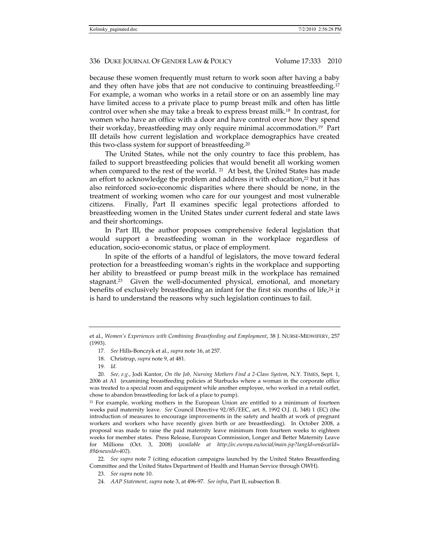because these women frequently must return to work soon after having a baby and they often have jobs that are not conducive to continuing breastfeeding.17 For example, a woman who works in a retail store or on an assembly line may have limited access to a private place to pump breast milk and often has little control over when she may take a break to express breast milk.18 In contrast, for women who have an office with a door and have control over how they spend their workday, breastfeeding may only require minimal accommodation.19 Part III details how current legislation and workplace demographics have created this two-class system for support of breastfeeding.20

The United States, while not the only country to face this problem, has failed to support breastfeeding policies that would benefit all working women when compared to the rest of the world. <sup>21</sup> At best, the United States has made an effort to acknowledge the problem and address it with education,<sup>22</sup> but it has also reinforced socio-economic disparities where there should be none, in the treatment of working women who care for our youngest and most vulnerable citizens. Finally, Part II examines specific legal protections afforded to breastfeeding women in the United States under current federal and state laws and their shortcomings.

In Part III, the author proposes comprehensive federal legislation that would support a breastfeeding woman in the workplace regardless of education, socio-economic status, or place of employment.

In spite of the efforts of a handful of legislators, the move toward federal protection for a breastfeeding woman's rights in the workplace and supporting her ability to breastfeed or pump breast milk in the workplace has remained stagnant.23 Given the well-documented physical, emotional, and monetary benefits of exclusively breastfeeding an infant for the first six months of life,<sup>24</sup> it is hard to understand the reasons why such legislation continues to fail.

22*. See supra* note 7 (citing education campaigns launched by the United States Breastfeeding Committee and the United States Department of Health and Human Service through OWH).

23*. See supra* note 10.

et al., *Women's Experiences with Combining Breastfeeding and Employment*, 38 J. NURSE-MIDWIFERY, 257 (1993).

<sup>17</sup>*. See* Hills-Bonczyk et al., *supra* note 16, at 257.

 <sup>18.</sup> Christrup, *supra* note 9, at 481.

<sup>19</sup>*. Id.*

<sup>20</sup>*. See, e.g.*, Jodi Kantor, *On the Job, Nursing Mothers Find a 2-Class System*, N.Y. TIMES, Sept. 1, 2006 at A1 (examining breastfeeding policies at Starbucks where a woman in the corporate office was treated to a special room and equipment while another employee, who worked in a retail outlet, chose to abandon breastfeeding for lack of a place to pump).

<sup>21</sup> For example, working mothers in the European Union are entitled to a minimum of fourteen weeks paid maternity leave. *See* Council Directive 92/85/EEC, art. 8, 1992 O.J. (L 348) 1 (EC) (the introduction of measures to encourage improvements in the safety and health at work of pregnant workers and workers who have recently given birth or are breastfeeding). In October 2008, a proposal was made to raise the paid maternity leave minimum from fourteen weeks to eighteen weeks for member states. Press Release, European Commission, Longer and Better Maternity Leave for Millions (Oct. 3, 2008) (*available at http://ec.europa.eu/social/main.jsp?langId=en&catId= 89&newsId=402*).

<sup>24</sup>*. AAP Statement, supra* note 3, at 496-97. *See infra*, Part II, subsection B.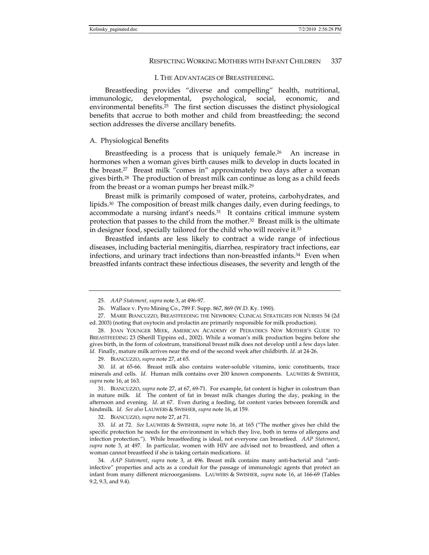## I. THE ADVANTAGES OF BREASTFEEDING.

Breastfeeding provides "diverse and compelling" health, nutritional, immunologic, developmental, psychological, social, economic, and environmental benefits.25 The first section discusses the distinct physiological benefits that accrue to both mother and child from breastfeeding; the second section addresses the diverse ancillary benefits.

#### A. Physiological Benefits

Breastfeeding is a process that is uniquely female.<sup>26</sup> An increase in hormones when a woman gives birth causes milk to develop in ducts located in the breast.27 Breast milk "comes in" approximately two days after a woman gives birth.28 The production of breast milk can continue as long as a child feeds from the breast or a woman pumps her breast milk.29

Breast milk is primarily composed of water, proteins, carbohydrates, and lipids.30 The composition of breast milk changes daily, even during feedings, to accommodate a nursing infant's needs.31 It contains critical immune system protection that passes to the child from the mother.32 Breast milk is the ultimate in designer food, specially tailored for the child who will receive it.33

Breastfed infants are less likely to contract a wide range of infectious diseases, including bacterial meningitis, diarrhea, respiratory tract infections, ear infections, and urinary tract infections than non-breastfed infants.<sup>34</sup> Even when breastfed infants contract these infectious diseases, the severity and length of the

29. BIANCUZZO, *supra* note 27, at 65.

30*. Id.* at 65-66. Breast milk also contains water-soluble vitamins, ionic constituents, trace minerals and cells. *Id*. Human milk contains over 200 known components. LAUWERS & SWISHER, *supra* note 16, at 163.

 31. BIANCUZZO, *supra* note 27, at 67, 69-71. For example, fat content is higher in colostrum than in mature milk. *Id.* The content of fat in breast milk changes during the day, peaking in the afternoon and evening. *Id*. at 67. Even during a feeding, fat content varies between foremilk and hindmilk*. Id. See also* LAUWERS & SWISHER, *supra* note 16, at 159.

32. BIANCUZZO, *supra* note 27, at 71.

33*. Id.* at 72. *See* LAUWERS & SWISHER, *supra* note 16, at 165 ("The mother gives her child the specific protection he needs for the environment in which they live, both in terms of allergens and infection protection."). While breastfeeding is ideal, not everyone can breastfeed. *AAP Statement*, *supra* note 3, at 497. In particular, women with HIV are advised not to breastfeed, and often a woman cannot breastfeed if she is taking certain medications. *Id.* 

34*. AAP Statement*, *supra* note 3, at 496. Breast milk contains many anti-bacterial and "antiinfective" properties and acts as a conduit for the passage of immunologic agents that protect an infant from many different microorganisms. LAUWERS & SWISHER, *supra* note 16, at 166-69 (Tables 9.2, 9.3, and 9.4).

<sup>25</sup>*. AAP Statement, supra* note 3, at 496-97.

 <sup>26.</sup> Wallace v. Pyro Mining Co., 789 F. Supp. 867, 869 (W.D. Ky. 1990).

 <sup>27.</sup> MARIE BIANCUZZO, BREASTFEEDING THE NEWBORN: CLINICAL STRATEGIES FOR NURSES 54 (2d ed. 2003) (noting that oxytocin and prolactin are primarily responsible for milk production).

 <sup>28.</sup> JOAN YOUNGER MEEK, AMERICAN ACADEMY OF PEDIATRICS NEW MOTHER'S GUIDE TO BREASTFEEDING 23 (Sherill Tippins ed., 2002). While a woman's milk production begins before she gives birth, in the form of colostrum, transitional breast milk does not develop until a few days later. *Id.* Finally, mature milk arrives near the end of the second week after childbirth. *Id.* at 24-26.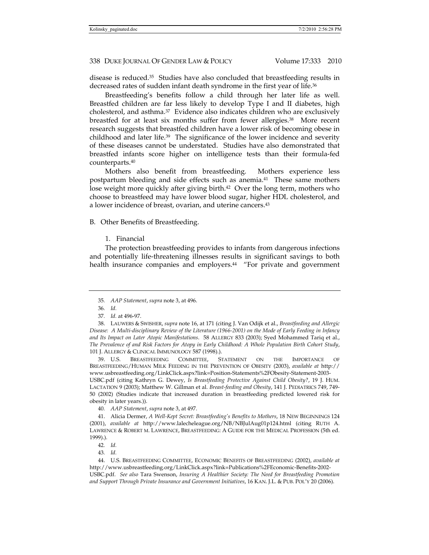disease is reduced.35 Studies have also concluded that breastfeeding results in decreased rates of sudden infant death syndrome in the first year of life.<sup>36</sup>

Breastfeeding's benefits follow a child through her later life as well. Breastfed children are far less likely to develop Type I and II diabetes, high cholesterol, and asthma. $37$  Evidence also indicates children who are exclusively breastfed for at least six months suffer from fewer allergies.38 More recent research suggests that breastfed children have a lower risk of becoming obese in childhood and later life.39 The significance of the lower incidence and severity of these diseases cannot be understated. Studies have also demonstrated that breastfed infants score higher on intelligence tests than their formula-fed counterparts.40

Mothers also benefit from breastfeeding. Mothers experience less postpartum bleeding and side effects such as anemia.41 These same mothers lose weight more quickly after giving birth.<sup>42</sup> Over the long term, mothers who choose to breastfeed may have lower blood sugar, higher HDL cholesterol, and a lower incidence of breast, ovarian, and uterine cancers.43

B. Other Benefits of Breastfeeding.

# 1. Financial

The protection breastfeeding provides to infants from dangerous infections and potentially life-threatening illnesses results in significant savings to both health insurance companies and employers.<sup>44</sup> "For private and government

 39. U.S. BREASTFEEDING COMMITTEE, STATEMENT ON THE IMPORTANCE OF BREASTFEEDING/HUMAN MILK FEEDING IN THE PREVENTION OF OBESITY (2003), *available at* http:// www.usbreastfeeding.org/LinkClick.aspx?link=Position-Statements%2FObesity-Statement-2003- USBC.pdf (citing Kathryn G. Dewey, *Is Breastfeeding Protective Against Child Obesity?*, 19 J. HUM. LACTATION 9 (2003); Matthew W. Gillman et al. *Breast-feeding and Obesity*, 141 J. PEDIATRICS 749, 749- 50 (2002) (Studies indicate that increased duration in breastfeeding predicted lowered risk for obesity in later years.)).

<sup>35</sup>*. AAP Statement*, *supra* note 3, at 496.

<sup>36</sup>*. Id.*

<sup>37</sup>*. Id.* at 496-97.

 <sup>38.</sup> LAUWERS & SWISHER, *supra* note 16, at 171 (citing J. Van Odijk et al., *Breastfeeding and Allergic Disease: A Multi-disciplinary Review of the Literature (1966-2001) on the Mode of Early Feeding in Infancy and Its Impact on Later Atopic Manifestations*. 58 ALLERGY 833 (2003); Syed Mohammed Tariq et al., *The Prevalence of and Risk Factors for Atopy in Early Childhood: A Whole Population Birth Cohort Study*, 101 J. ALLERGY & CLINICAL IMMUNOLOGY 587 (1998).).

<sup>40</sup>*. AAP Statement*, *supra* note 3, at 497.

 <sup>41.</sup> Alicia Dermer, *A Well-Kept Secret: Breastfeeding's Benefits to Mothers*, 18 NEW BEGINNINGS 124 (2001), *available at* http://www.lalecheleague.org/NB/NBJulAug01p124.html (citing RUTH A. LAWRENCE & ROBERT M. LAWRENCE, BREASTFEEDING: A GUIDE FOR THE MEDICAL PROFESSION (5th ed. 1999).).

<sup>42</sup>*. Id.*

<sup>43</sup>*. Id.*

 <sup>44.</sup> U.S. BREASTFEEDING COMMITTEE, ECONOMIC BENEFITS OF BREASTFEEDING (2002), *available at* http://www.usbreastfeeding.org/LinkClick.aspx?link=Publications%2FEconomic-Benefits-2002- USBC.pdf. *See also* Tara Swenson, *Insuring A Healthier Society: The Need for Breastfeeding Promotion and Support Through Private Insurance and Government Initiatives*, 16 KAN. J.L. & PUB. POL'Y 20 (2006).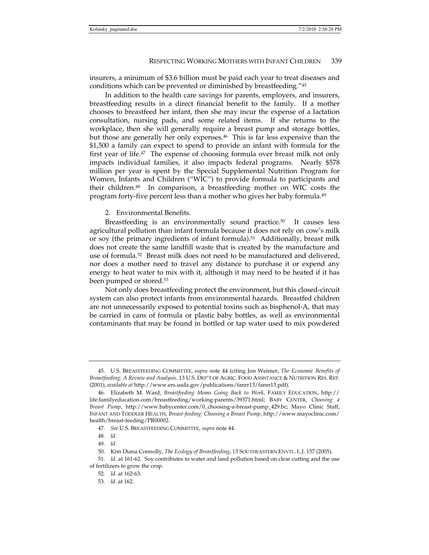insurers, a minimum of \$3.6 billion must be paid each year to treat diseases and conditions which can be prevented or diminished by breastfeeding."45

In addition to the health care savings for parents, employers, and insurers, breastfeeding results in a direct financial benefit to the family. If a mother chooses to breastfeed her infant, then she may incur the expense of a lactation consultation, nursing pads, and some related items. If she returns to the workplace, then she will generally require a breast pump and storage bottles, but those are generally her only expenses.46 This is far less expensive than the \$1,500 a family can expect to spend to provide an infant with formula for the first year of life.47 The expense of choosing formula over breast milk not only impacts individual families, it also impacts federal programs. Nearly \$578 million per year is spent by the Special Supplemental Nutrition Program for Women, Infants and Children ("WIC") to provide formula to participants and their children.48 In comparison, a breastfeeding mother on WIC costs the program forty-five percent less than a mother who gives her baby formula.49

#### 2. Environmental Benefits.

Breastfeeding is an environmentally sound practice.<sup>50</sup> It causes less agricultural pollution than infant formula because it does not rely on cow's milk or soy (the primary ingredients of infant formula).51 Additionally, breast milk does not create the same landfill waste that is created by the manufacture and use of formula.52 Breast milk does not need to be manufactured and delivered, nor does a mother need to travel any distance to purchase it or expend any energy to heat water to mix with it, although it may need to be heated if it has been pumped or stored.53

Not only does breastfeeding protect the environment, but this closed-circuit system can also protect infants from environmental hazards. Breastfed children are not unnecessarily exposed to potential toxins such as bisphenol-A, that may be carried in cans of formula or plastic baby bottles, as well as environmental contaminants that may be found in bottled or tap water used to mix powdered

 <sup>45.</sup> U.S. BREASTFEEDING COMMITTEE, *supra n*ote 44 (citing Jon Weimer, *The Economic Benefits of Breastfeeding: A Review and Analysis*. 13 U.S. DEP'T OF AGRIC. FOOD ASSISTANCE & NUTRITION RES. REP. (2001), *available at* http://www.ers.usda.gov/publications/fanrr13/fanrr13.pdf).

 <sup>46.</sup> Elizabeth M. Ward, *Breastfeeding Moms Going Back to Work,* FAMILY EDUCATION, http:// life.familyeducation.com/breastfeeding/working-parents/39371.html; BABY CENTER, *Choosing a Breast Pump*, http://www.babycenter.com/0\_choosing-a-breast-pump\_429.bc; Mayo Clinic Staff, INFANT AND TODDLER HEALTH, *Breast-feeding: Choosing a Breast Pump*, http://www.mayoclinic.com/ health/breast-feeding/PR00002.

<sup>47</sup>*. See* U.S. BREASTFEEDING COMMITTEE, *supra* note 44.

<sup>48</sup>*. Id.*

<sup>49</sup>*. Id.*

 <sup>50.</sup> Kim Diana Connolly, *The Ecology of Breastfeeding*, 13 SOUTHEASTERN ENVTL. L.J. 157 (2005).

<sup>51</sup>*. Id.* at 161-62. Soy contributes to water and land pollution based on clear cutting and the use of fertilizers to grow the crop.

<sup>52</sup>*. Id.* at 162-63.

<sup>53</sup>*. Id.* at 162.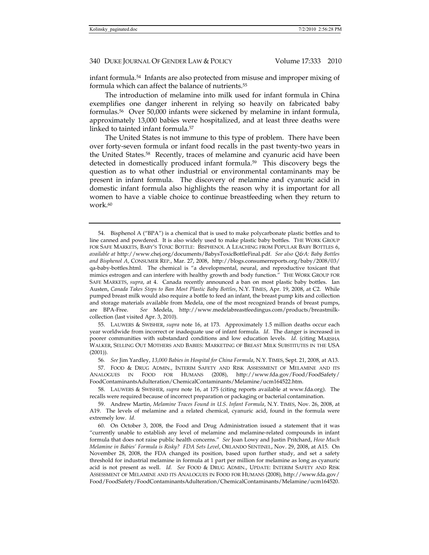infant formula.54 Infants are also protected from misuse and improper mixing of formula which can affect the balance of nutrients.55

The introduction of melamine into milk used for infant formula in China exemplifies one danger inherent in relying so heavily on fabricated baby formulas.56 Over 50,000 infants were sickened by melamine in infant formula, approximately 13,000 babies were hospitalized, and at least three deaths were linked to tainted infant formula.57

The United States is not immune to this type of problem. There have been over forty-seven formula or infant food recalls in the past twenty-two years in the United States.58 Recently, traces of melamine and cyanuric acid have been detected in domestically produced infant formula.59 This discovery begs the question as to what other industrial or environmental contaminants may be present in infant formula. The discovery of melamine and cyanuric acid in domestic infant formula also highlights the reason why it is important for all women to have a viable choice to continue breastfeeding when they return to work.<sup>60</sup>

 55. LAUWERS & SWISHER, *supra* note 16, at 173. Approximately 1.5 million deaths occur each year worldwide from incorrect or inadequate use of infant formula. *Id*. The danger is increased in poorer communities with substandard conditions and low education levels. *Id*. (citing MARSHA WALKER, SELLING OUT MOTHERS AND BABIES: MARKETING OF BREAST MILK SUBSTITUTES IN THE USA (2001)).

56*. See* Jim Yardley, *13,000 Babies in Hospital for China Formula*, N.Y. TIMES, Sept. 21, 2008, at A13.

 57. FOOD & DRUG ADMIN., INTERIM SAFETY AND RISK ASSESSMENT OF MELAMINE AND ITS ANALOGUES IN FOOD FOR HUMANS (2008), http://www.fda.gov/Food/FoodSafety/ FoodContaminantsAdulteration/ChemicalContaminants/Melamine/ucm164522.htm.

 58. LAUWERS & SWISHER, *supra* note 16, at 175 (citing reports available at www.fda.org). The recalls were required because of incorrect preparation or packaging or bacterial contamination.

 59. Andrew Martin, *Melamine Traces Found in U.S. Infant Formula*, N.Y. TIMES, Nov. 26, 2008, at A19. The levels of melamine and a related chemical, cyanuric acid, found in the formula were extremely low. *Id.*

 60. On October 3, 2008, the Food and Drug Administration issued a statement that it was "currently unable to establish any level of melamine and melamine-related compounds in infant formula that does not raise public health concerns." *See* Joan Lowy and Justin Pritchard, *How Much Melamine in Babies' Formula is Risky? FDA Sets Level*, ORLANDO SENTINEL, Nov. 29, 2008, at A15. On November 28, 2008, the FDA changed its position, based upon further study, and set a safety threshold for industrial melamine in formula at 1 part per million for melamine as long as cyanuric acid is not present as well. *Id. See* FOOD & DRUG ADMIN., UPDATE: INTERIM SAFETY AND RISK ASSESSMENT OF MELAMINE AND ITS ANALOGUES IN FOOD FOR HUMANS (2008), http://www.fda.gov/ Food/FoodSafety/FoodContaminantsAdulteration/ChemicalContaminants/Melamine/ucm164520.

 <sup>54.</sup> Bisphenol A ("BPA") is a chemical that is used to make polycarbonate plastic bottles and to line canned and powdered. It is also widely used to make plastic baby bottles. THE WORK GROUP FOR SAFE MARKETS, BABY'S TOXIC BOTTLE: BISPHENOL A LEACHING FROM POPULAR BABY BOTTLES 6, *available at* http://www.chej.org/documents/BabysToxicBottleFinal.pdf. *See also Q&A: Baby Bottles and Bisphenol A*, CONSUMER REP., Mar. 27, 2008, http://blogs.consumerreports.org/baby/2008/03/ qa-baby-bottles.html. The chemical is "a developmental, neural, and reproductive toxicant that mimics estrogen and can interfere with healthy growth and body function." THE WORK GROUP FOR SAFE MARKETS, *supra*, at 4. Canada recently announced a ban on most plastic baby bottles. Ian Austen, *Canada Takes Steps to Ban Most Plastic Baby Bottles*, N.Y. TIMES, Apr. 19, 2008, at C2. While pumped breast milk would also require a bottle to feed an infant, the breast pump kits and collection and storage materials available from Medela, one of the most recognized brands of breast pumps, are BPA-Free. *See* Medela, http://www.medelabreastfeedingus.com/products/breastmilkcollection (last visited Apr. 3, 2010).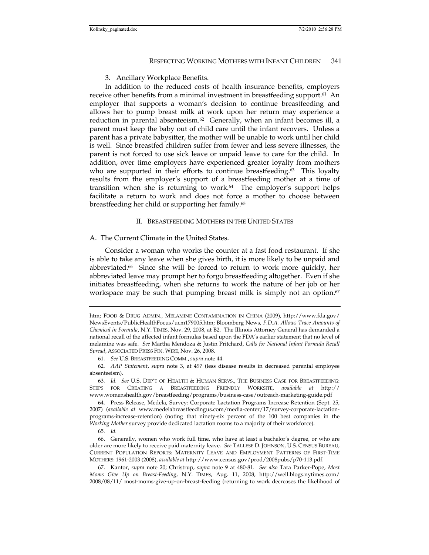# 3. Ancillary Workplace Benefits.

In addition to the reduced costs of health insurance benefits, employers receive other benefits from a minimal investment in breastfeeding support.<sup>61</sup> An employer that supports a woman's decision to continue breastfeeding and allows her to pump breast milk at work upon her return may experience a reduction in parental absenteeism.<sup>62</sup> Generally, when an infant becomes ill, a parent must keep the baby out of child care until the infant recovers. Unless a parent has a private babysitter, the mother will be unable to work until her child is well. Since breastfed children suffer from fewer and less severe illnesses, the parent is not forced to use sick leave or unpaid leave to care for the child. In addition, over time employers have experienced greater loyalty from mothers who are supported in their efforts to continue breastfeeding.<sup>63</sup> This loyalty results from the employer's support of a breastfeeding mother at a time of transition when she is returning to work. $64$  The employer's support helps facilitate a return to work and does not force a mother to choose between breastfeeding her child or supporting her family.65

# II. BREASTFEEDING MOTHERS IN THE UNITED STATES

# A. The Current Climate in the United States.

Consider a woman who works the counter at a fast food restaurant. If she is able to take any leave when she gives birth, it is more likely to be unpaid and abbreviated.66 Since she will be forced to return to work more quickly, her abbreviated leave may prompt her to forgo breastfeeding altogether. Even if she initiates breastfeeding, when she returns to work the nature of her job or her workspace may be such that pumping breast milk is simply not an option.<sup>67</sup>

htm; FOOD & DRUG ADMIN., MELAMINE CONTAMINATION IN CHINA (2009), http://www.fda.gov/ NewsEvents/PublicHealthFocus/ucm179005.htm; Bloomberg News, *F.D.A. Allows Trace Amounts of Chemical in Formula*, N.Y. TIMES, Nov. 29, 2008, at B2. The Illinois Attorney General has demanded a national recall of the affected infant formulas based upon the FDA's earlier statement that no level of melamine was safe. *See* Martha Mendoza & Justin Pritchard, *Calls for National Infant Formula Recall Spread*, ASSOCIATED PRESS FIN. WIRE, Nov. 26, 2008.

<sup>61</sup>*. See* U.S. BREASTFEEDING COMM., *supra* note 44.

<sup>62</sup>*. AAP Statement*, *supra* note 3, at 497 (less disease results in decreased parental employee absenteeism).

<sup>63</sup>*. Id. See* U.S. DEP'T OF HEALTH & HUMAN SERVS., THE BUSINESS CASE FOR BREASTFEEDING: STEPS FOR CREATING A BREASTFEEDING FRIENDLY WORKSITE, *available at* http:// www.womenshealth.gov/breastfeeding/programs/business-case/outreach-marketing-guide.pdf

 <sup>64.</sup> Press Release, Medela, Survey: Corporate Lactation Programs Increase Retention (Sept. 25, 2007) (*available at* www.medelabreastfeedingus.com/media-center/17/survey-corporate-lactationprograms-increase-retention) (noting that ninety-six percent of the 100 best companies in the *Working Mother* survey provide dedicated lactation rooms to a majority of their workforce).

<sup>65</sup>*. Id.*

 <sup>66.</sup> Generally, women who work full time, who have at least a bachelor's degree, or who are older are more likely to receive paid maternity leave. *See* TALLESE D. JOHNSON, U.S. CENSUS BUREAU, CURRENT POPULATION REPORTS: MATERNITY LEAVE AND EMPLOYMENT PATTERNS OF FIRST-TIME MOTHERS: 1961-2003 (2008), *available at* http://www.census.gov/prod/2008pubs/p70-113.pdf.

 <sup>67.</sup> Kantor, *supra* note 20; Christrup, *supra* note 9 at 480-81. *See also* Tara Parker-Pope, *Most Moms Give Up on Breast-Feeding*, N.Y. TIMES, Aug. 11, 2008, http://well.blogs.nytimes.com/ 2008/08/11/ most-moms-give-up-on-breast-feeding (returning to work decreases the likelihood of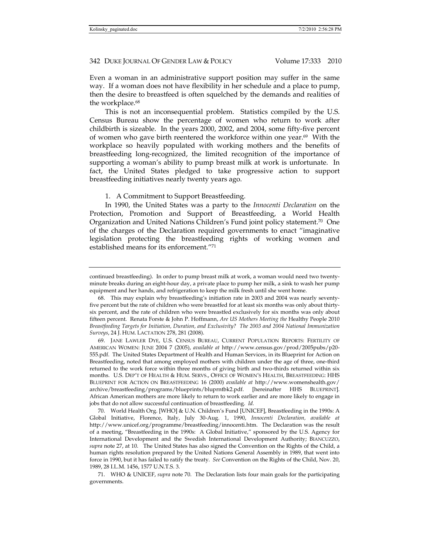Even a woman in an administrative support position may suffer in the same way. If a woman does not have flexibility in her schedule and a place to pump, then the desire to breastfeed is often squelched by the demands and realities of the workplace.<sup>68</sup>

This is not an inconsequential problem. Statistics compiled by the U.S. Census Bureau show the percentage of women who return to work after childbirth is sizeable. In the years 2000, 2002, and 2004, some fifty-five percent of women who gave birth reentered the workforce within one year. $69$  With the workplace so heavily populated with working mothers and the benefits of breastfeeding long-recognized, the limited recognition of the importance of supporting a woman's ability to pump breast milk at work is unfortunate. In fact, the United States pledged to take progressive action to support breastfeeding initiatives nearly twenty years ago.

1. A Commitment to Support Breastfeeding.

In 1990, the United States was a party to the *Innocenti Declaration* on the Protection, Promotion and Support of Breastfeeding, a World Health Organization and United Nations Children's Fund joint policy statement.<sup>70</sup> One of the charges of the Declaration required governments to enact "imaginative legislation protecting the breastfeeding rights of working women and established means for its enforcement."71

 69. JANE LAWLER DYE, U.S. CENSUS BUREAU, CURRENT POPULATION REPORTS: FERTILITY OF AMERICAN WOMEN: JUNE 2004 7 (2005), *available at* http://www.census.gov/prod/2005pubs/p20- 555.pdf. The United States Department of Health and Human Services, in its Blueprint for Action on Breastfeeding, noted that among employed mothers with children under the age of three, one-third returned to the work force within three months of giving birth and two-thirds returned within six months. U.S. DEP'T OF HEALTH & HUM. SERVS., OFFICE OF WOMEN'S HEALTH, BREASTFEEDING: HHS BLUEPRINT FOR ACTION ON BREASTFEEDING 16 (2000) *available at* http://www.womenshealth.gov/ archive/breastfeeding/programs/blueprints/bluprntbk2.pdf. [hereinafter HHS BLUEPRINT]. African American mothers are more likely to return to work earlier and are more likely to engage in jobs that do not allow successful continuation of breastfeeding. *Id.* 

 70. World Health Org. [WHO] & U.N. Children's Fund [UNICEF], Breastfeeding in the 1990s: A Global Initiative, Florence, Italy, July 30-Aug. 1, 1990, *Innocenti Declaration, available at*  http://www.unicef.org/programme/breastfeeding/innocenti.htm. The Declaration was the result of a meeting, "Breastfeeding in the 1990s: A Global Initiative," sponsored by the U.S. Agency for International Development and the Swedish International Development Authority; BIANCUZZO, supra note 27, at 10. The United States has also signed the Convention on the Rights of the Child, a human rights resolution prepared by the United Nations General Assembly in 1989, that went into force in 1990, but it has failed to ratify the treaty. *See* Convention on the Rights of the Child, Nov. 20, 1989, 28 I.L.M. 1456, 1577 U.N.T.S. 3.

 71. WHO & UNICEF, *supra* note 70. The Declaration lists four main goals for the participating governments.

continued breastfeeding). In order to pump breast milk at work, a woman would need two twentyminute breaks during an eight-hour day, a private place to pump her milk, a sink to wash her pump equipment and her hands, and refrigeration to keep the milk fresh until she went home.

 <sup>68.</sup> This may explain why breastfeeding's initiation rate in 2003 and 2004 was nearly seventyfive percent but the rate of children who were breastfed for at least six months was only about thirtysix percent, and the rate of children who were breastfed exclusively for six months was only about fifteen percent. Renata Forste & John P. Hoffmann, *Are US Mothers Meeting the* Healthy People 2010 *Breastfeeding Targets for Initiation, Duration, and Exclusivity? The 2003 and 2004 National Immunization Surveys*, 24 J. HUM. LACTATION 278, 281 (2008).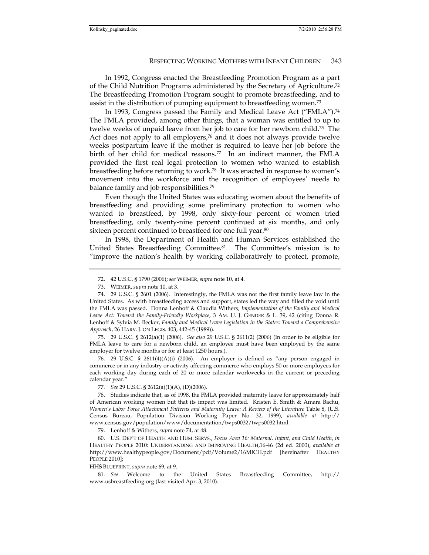In 1992, Congress enacted the Breastfeeding Promotion Program as a part of the Child Nutrition Programs administered by the Secretary of Agriculture.72 The Breastfeeding Promotion Program sought to promote breastfeeding, and to assist in the distribution of pumping equipment to breastfeeding women.73

In 1993, Congress passed the Family and Medical Leave Act ("FMLA").74 The FMLA provided, among other things, that a woman was entitled to up to twelve weeks of unpaid leave from her job to care for her newborn child.75 The Act does not apply to all employers, $76$  and it does not always provide twelve weeks postpartum leave if the mother is required to leave her job before the birth of her child for medical reasons.<sup>77</sup> In an indirect manner, the FMLA provided the first real legal protection to women who wanted to establish breastfeeding before returning to work.78 It was enacted in response to women's movement into the workforce and the recognition of employees' needs to balance family and job responsibilities.79

Even though the United States was educating women about the benefits of breastfeeding and providing some preliminary protection to women who wanted to breastfeed, by 1998, only sixty-four percent of women tried breastfeeding, only twenty-nine percent continued at six months, and only sixteen percent continued to breastfeed for one full year.<sup>80</sup>

In 1998, the Department of Health and Human Services established the United States Breastfeeding Committee.81 The Committee's mission is to "improve the nation's health by working collaboratively to protect, promote,

 75. 29 U.S.C. § 2612(a)(1) (2006). *See also* 29 U.S.C. § 2611(2) (2006) (In order to be eligible for FMLA leave to care for a newborn child, an employee must have been employed by the same employer for twelve months or for at least 1250 hours.).

76. 29 U.S.C. § 2611(4)(A)(i) (2006). An employer is defined as "any person engaged in commerce or in any industry or activity affecting commerce who employs 50 or more employees for each working day during each of 20 or more calendar workweeks in the current or preceding calendar year."

77*. See* 29 U.S.C. § 2612(a)(1)(A), (D)(2006).

 78. Studies indicate that, as of 1998, the FMLA provided maternity leave for approximately half of American working women but that its impact was limited. Kristen E. Smith & Amara Bachu, *Women's Labor Force Attachment Patterns and Maternity Leave: A Review of the Literature* Table 8, (U.S. Census Bureau, Population Division Working Paper No. 32, 1999), *available at* http:// www.census.gov/population/www/documentation/twps0032/twps0032.html.

79. Lenhoff & Withers, *supra* note 74, at 48.

 80. U.S. DEP'T OF HEALTH AND HUM. SERVS., *Focus Area 16: Maternal, Infant, and Child Health*, *in* HEALTHY PEOPLE 2010: UNDERSTANDING AND IMPROVING HEALTH,16-46 (2d ed. 2000), *available at*  http://www.healthypeople.gov/Document/pdf/Volume2/16MICH.pdf [hereinafter HEALTHY PEOPLE 2010];

HHS BLUEPRINT, *supra* note 69, at 9.

81*. See* Welcome to the United States Breastfeeding Committee, http:// www.usbreastfeeding.org (last visited Apr. 3, 2010).

 <sup>72. 42</sup> U.S.C. § 1790 (2006); *see* WEIMER, *supra* note 10, at 4.

 <sup>73.</sup> WEIMER, *supra* note 10, at 3.

 <sup>74. 29</sup> U.S.C. § 2601 (2006). Interestingly, the FMLA was not the first family leave law in the United States. As with breastfeeding access and support, states led the way and filled the void until the FMLA was passed. Donna Lenhoff & Claudia Withers, *Implementation of the Family and Medical Leave Act: Toward the Family-Friendly Workplace*, 3 AM. U. J. GENDER & L. 39, 42 (citing Donna R. Lenhoff & Sylvia M. Becker, *Family and Medical Leave Legislation in the States: Toward a Comprehensive Approach*, 26 HARV. J. ON LEGIS. 403, 442-45 (1989)).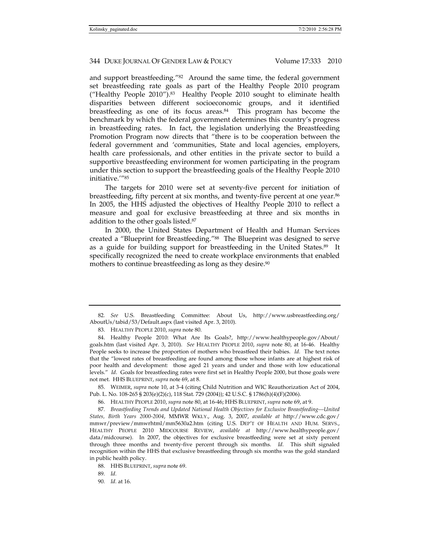and support breastfeeding."82 Around the same time, the federal government set breastfeeding rate goals as part of the Healthy People 2010 program ("Healthy People 2010").83 Healthy People 2010 sought to eliminate health disparities between different socioeconomic groups, and it identified breastfeeding as one of its focus areas.84 This program has become the benchmark by which the federal government determines this country's progress in breastfeeding rates. In fact, the legislation underlying the Breastfeeding Promotion Program now directs that "there is to be cooperation between the federal government and 'communities, State and local agencies, employers, health care professionals, and other entities in the private sector to build a supportive breastfeeding environment for women participating in the program under this section to support the breastfeeding goals of the Healthy People 2010 initiative.'"85

The targets for 2010 were set at seventy-five percent for initiation of breastfeeding, fifty percent at six months, and twenty-five percent at one year.86 In 2005, the HHS adjusted the objectives of Healthy People 2010 to reflect a measure and goal for exclusive breastfeeding at three and six months in addition to the other goals listed.87

In 2000, the United States Department of Health and Human Services created a "Blueprint for Breastfeeding."88 The Blueprint was designed to serve as a guide for building support for breastfeeding in the United States.89 It specifically recognized the need to create workplace environments that enabled mothers to continue breastfeeding as long as they desire.<sup>90</sup>

 85. WEIMER, *supra* note 10, at 3-4 (citing Child Nutrition and WIC Reauthorization Act of 2004, Pub. L. No. 108-265 § 203(e)(2)(c), 118 Stat. 729 (2004)); 42 U.S.C. § 1786(h)(4)(F)(2006).

86. HEALTHY PEOPLE 2010, *supra* note 80, at 16-46; HHS BLUEPRINT, *supra* note 69, at 9.

87*. Breastfeeding Trends and Updated National Health Objectives for Exclusive Breastfeeding—United States, Birth Years 2000-2004*, MMWR WKLY., Aug. 3, 2007, *available at* http://www.cdc.gov/ mmwr/preview/mmwrhtml/mm5630a2.htm (citing U.S. DEP'T OF HEALTH AND HUM. SERVS., HEALTHY PEOPLE 2010 MIDCOURSE REVIEW, *available at* http://www.healthypeople.gov/ data/midcourse). In 2007, the objectives for exclusive breastfeeding were set at sixty percent through three months and twenty-five percent through six months. *Id.* This shift signaled recognition within the HHS that exclusive breastfeeding through six months was the gold standard in public health policy.

<sup>82</sup>*. See* U.S. Breastfeeding Committee: About Us, http://www.usbreastfeeding.org/ AboutUs/tabid/53/Default.aspx (last visited Apr. 3, 2010).

 <sup>83.</sup> HEALTHY PEOPLE 2010, *supra* note 80.

 <sup>84.</sup> Healthy People 2010: What Are Its Goals?, http://www.healthypeople.gov/About/ goals.htm (last visited Apr. 3, 2010). *See* HEALTHY PEOPLE 2010, *supra* note 80, at 16-46. Healthy People seeks to increase the proportion of mothers who breastfeed their babies. *Id.* The text notes that the "lowest rates of breastfeeding are found among those whose infants are at highest risk of poor health and development: those aged 21 years and under and those with low educational levels." *Id*. Goals for breastfeeding rates were first set in Healthy People 2000, but those goals were not met. HHS BLUEPRINT, *supra* note 69, at 8.

 <sup>88.</sup> HHS BLUEPRINT, *supra* note 69.

<sup>89</sup>*. Id.*

<sup>90</sup>*. Id.* at 16.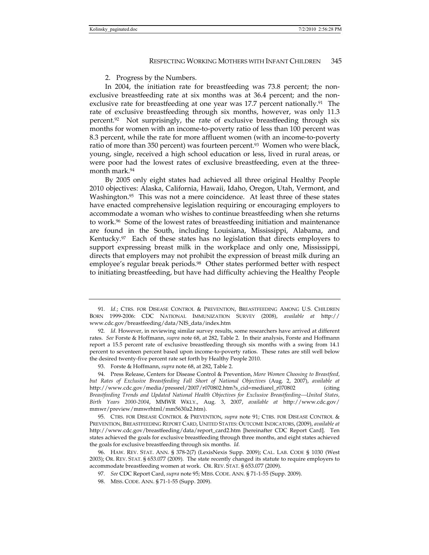#### 2. Progress by the Numbers.

In 2004, the initiation rate for breastfeeding was 73.8 percent; the nonexclusive breastfeeding rate at six months was at 36.4 percent; and the nonexclusive rate for breastfeeding at one year was  $17.7$  percent nationally.<sup>91</sup> The rate of exclusive breastfeeding through six months, however, was only 11.3 percent.<sup>92</sup> Not surprisingly, the rate of exclusive breastfeeding through six months for women with an income-to-poverty ratio of less than 100 percent was 8.3 percent, while the rate for more affluent women (with an income-to-poverty ratio of more than 350 percent) was fourteen percent.<sup>93</sup> Women who were black, young, single, received a high school education or less, lived in rural areas, or were poor had the lowest rates of exclusive breastfeeding, even at the threemonth mark.94

By 2005 only eight states had achieved all three original Healthy People 2010 objectives: Alaska, California, Hawaii, Idaho, Oregon, Utah, Vermont, and Washington.<sup>95</sup> This was not a mere coincidence. At least three of these states have enacted comprehensive legislation requiring or encouraging employers to accommodate a woman who wishes to continue breastfeeding when she returns to work.96 Some of the lowest rates of breastfeeding initiation and maintenance are found in the South, including Louisiana, Mississippi, Alabama, and Kentucky.97 Each of these states has no legislation that directs employers to support expressing breast milk in the workplace and only one, Mississippi, directs that employers may not prohibit the expression of breast milk during an employee's regular break periods.98 Other states performed better with respect to initiating breastfeeding, but have had difficulty achieving the Healthy People

 95. CTRS. FOR DISEASE CONTROL & PREVENTION, *supra* note 91; CTRS. FOR DISEASE CONTROL & PREVENTION, BREASTFEEDING REPORT CARD, UNITED STATES: OUTCOME INDICATORS, (2009), *available at* http://www.cdc.gov/breastfeeding/data/report\_card2.htm [hereinafter CDC Report Card]. Ten states achieved the goals for exclusive breastfeeding through three months, and eight states achieved the goals for exclusive breastfeeding through six months. *Id.*

 96. HAW. REV. STAT. ANN. § 378-2(7) (LexisNexis Supp. 2009); CAL. LAB. CODE § 1030 (West 2003); OR. REV. STAT. § 653.077 (2009). The state recently changed its statute to require employers to accommodate breastfeeding women at work. OR. REV. STAT. § 653.077 (2009).

97*. See* CDC Report Card, *supra* note 95; MISS. CODE. ANN. § 71-1-55 (Supp. 2009).

<sup>91</sup>*. Id.*; CTRS. FOR DISEASE CONTROL & PREVENTION, BREASTFEEDING AMONG U.S. CHILDREN BORN 1999-2006: CDC NATIONAL IMMUNIZATION SURVEY (2008), *available at* http:// www.cdc.gov/breastfeeding/data/NIS\_data/index.htm

<sup>92</sup>*. Id.* However, in reviewing similar survey results, some researchers have arrived at different rates. *See* Forste & Hoffmann, *supra* note 68, at 282, Table 2. In their analysis, Forste and Hoffmann report a 15.5 percent rate of exclusive breastfeeding through six months with a swing from 14.1 percent to seventeen percent based upon income-to-poverty ratios. These rates are still well below the desired twenty-five percent rate set forth by Healthy People 2010.

 <sup>93.</sup> Forste & Hoffmann, *supra* note 68, at 282, Table 2.

 <sup>94.</sup> Press Release, Centers for Disease Control & Prevention, *More Women Choosing to Breastfeed, but Rates of Exclusive Breastfeeding Fall Short of National Objectives* (Aug. 2, 2007), *available at*  http://www.cdc.gov/media/pressrel/2007/r070802.htm?s\_cid=mediarel\_r070802 (citing *Breastfeeding Trends and Updated National Health Objectives for Exclusive Breastfeeding—United States, Birth Years 2000-2004*, MMWR WKLY., Aug. 3, 2007, *available at* http://www.cdc.gov/ mmwr/preview/mmwrhtml/mm5630a2.htm).

 <sup>98.</sup> MISS. CODE. ANN. § 71-1-55 (Supp. 2009).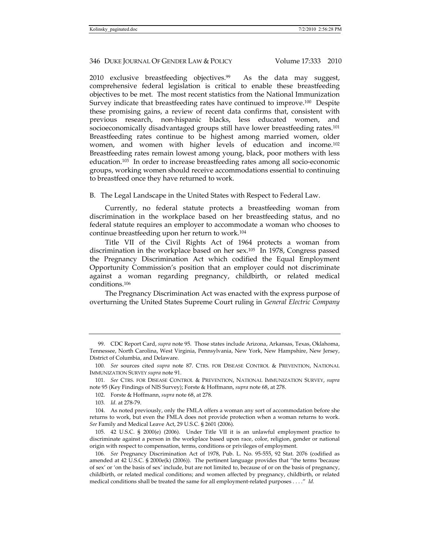2010 exclusive breastfeeding objectives.<sup>99</sup> As the data may suggest, comprehensive federal legislation is critical to enable these breastfeeding objectives to be met. The most recent statistics from the National Immunization Survey indicate that breastfeeding rates have continued to improve.<sup>100</sup> Despite these promising gains, a review of recent data confirms that, consistent with previous research, non-hispanic blacks, less educated women, and socioeconomically disadvantaged groups still have lower breastfeeding rates.<sup>101</sup> Breastfeeding rates continue to be highest among married women, older women, and women with higher levels of education and income.102 Breastfeeding rates remain lowest among young, black, poor mothers with less education.103 In order to increase breastfeeding rates among all socio-economic groups, working women should receive accommodations essential to continuing to breastfeed once they have returned to work.

B. The Legal Landscape in the United States with Respect to Federal Law.

Currently, no federal statute protects a breastfeeding woman from discrimination in the workplace based on her breastfeeding status, and no federal statute requires an employer to accommodate a woman who chooses to continue breastfeeding upon her return to work.104

Title VII of the Civil Rights Act of 1964 protects a woman from discrimination in the workplace based on her sex.105 In 1978, Congress passed the Pregnancy Discrimination Act which codified the Equal Employment Opportunity Commission's position that an employer could not discriminate against a woman regarding pregnancy, childbirth, or related medical conditions.106

The Pregnancy Discrimination Act was enacted with the express purpose of overturning the United States Supreme Court ruling in *General Electric Company* 

 105. 42 U.S.C. § 2000(e) (2006). Under Title VII it is an unlawful employment practice to discriminate against a person in the workplace based upon race, color, religion, gender or national origin with respect to compensation, terms, conditions or privileges of employment.

 <sup>99.</sup> CDC Report Card, *supra* note 95. Those states include Arizona, Arkansas, Texas, Oklahoma, Tennessee, North Carolina, West Virginia, Pennsylvania, New York, New Hampshire, New Jersey, District of Columbia, and Delaware.

<sup>100</sup>*. See* sources cited *supra* note 87. CTRS. FOR DISEASE CONTROL & PREVENTION, NATIONAL IMMUNIZATION SURVEY *supra* note 91.

<sup>101</sup>*. See* CTRS. FOR DISEASE CONTROL & PREVENTION, NATIONAL IMMUNIZATION SURVEY, *supra* note 95 (Key Findings of NIS Survey); Forste & Hoffmann, *supra* note 68, at 278.

 <sup>102.</sup> Forste & Hoffmann, *supra* note 68, at 278.

<sup>103</sup>*. Id.* at 278-79.

 <sup>104.</sup> As noted previously, only the FMLA offers a woman any sort of accommodation before she returns to work, but even the FMLA does not provide protection when a woman returns to work. *See* Family and Medical Leave Act, 29 U.S.C. § 2601 (2006).

<sup>106</sup>*. See* Pregnancy Discrimination Act of 1978, Pub. L. No. 95-555, 92 Stat. 2076 (codified as amended at 42 U.S.C. § 2000e(k) (2006)). The pertinent language provides that "the terms 'because of sex' or 'on the basis of sex' include, but are not limited to, because of or on the basis of pregnancy, childbirth, or related medical conditions; and women affected by pregnancy, childbirth, or related medical conditions shall be treated the same for all employment-related purposes . . . ." *Id.*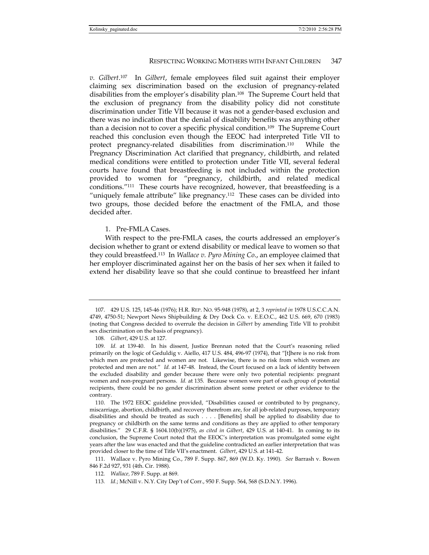*v. Gilbert*. 107 In *Gilbert*, female employees filed suit against their employer claiming sex discrimination based on the exclusion of pregnancy-related disabilities from the employer's disability plan.108 The Supreme Court held that the exclusion of pregnancy from the disability policy did not constitute discrimination under Title VII because it was not a gender-based exclusion and there was no indication that the denial of disability benefits was anything other than a decision not to cover a specific physical condition.109 The Supreme Court reached this conclusion even though the EEOC had interpreted Title VII to protect pregnancy-related disabilities from discrimination.110 While the Pregnancy Discrimination Act clarified that pregnancy, childbirth, and related medical conditions were entitled to protection under Title VII, several federal courts have found that breastfeeding is not included within the protection provided to women for "pregnancy, childbirth, and related medical conditions."111 These courts have recognized, however, that breastfeeding is a "uniquely female attribute" like pregnancy.<sup>112</sup> These cases can be divided into two groups, those decided before the enactment of the FMLA, and those decided after.

# 1. Pre-FMLA Cases.

With respect to the pre-FMLA cases, the courts addressed an employer's decision whether to grant or extend disability or medical leave to women so that they could breastfeed.113 In *Wallace v. Pyro Mining Co*., an employee claimed that her employer discriminated against her on the basis of her sex when it failed to extend her disability leave so that she could continue to breastfeed her infant

 <sup>107. 429</sup> U.S. 125, 145-46 (1976); H.R. REP. NO. 95-948 (1978), at 2, 3 *reprinted in* 1978 U.S.C.C.A.N. 4749, 4750-51; Newport News Shipbuilding & Dry Dock Co. v. E.E.O.C., 462 U.S. 669, 670 (1983) (noting that Congress decided to overrule the decision in *Gilbert* by amending Title VII to prohibit sex discrimination on the basis of pregnancy).

<sup>108</sup>*. Gilbert*, 429 U.S. at 127.

<sup>109</sup>*. Id.* at 139-40. In his dissent, Justice Brennan noted that the Court's reasoning relied primarily on the logic of Geduldig v. Aiello, 417 U.S. 484, 496-97 (1974), that "[t]here is no risk from which men are protected and women are not. Likewise, there is no risk from which women are protected and men are not." *Id.* at 147-48. Instead, the Court focused on a lack of identity between the excluded disability and gender because there were only two potential recipients: pregnant women and non-pregnant persons. *Id.* at 135. Because women were part of each group of potential recipients, there could be no gender discrimination absent some pretext or other evidence to the contrary.

 <sup>110.</sup> The 1972 EEOC guideline provided, "Disabilities caused or contributed to by pregnancy, miscarriage, abortion, childbirth, and recovery therefrom are, for all job-related purposes, temporary disabilities and should be treated as such . . . . [Benefits] shall be applied to disability due to pregnancy or childbirth on the same terms and conditions as they are applied to other temporary disabilities." 29 C.F.R. § 1604.10(b)(1975), *as cited in Gilbert*, 429 U.S. at 140-41. In coming to its conclusion, the Supreme Court noted that the EEOC's interpretation was promulgated some eight years after the law was enacted and that the guideline contradicted an earlier interpretation that was provided closer to the time of Title VII's enactment. *Gilbert*, 429 U.S. at 141-42.

 <sup>111.</sup> Wallace v. Pyro Mining Co., 789 F. Supp. 867, 869 (W.D. Ky. 1990). *See* Barrash v. Bowen 846 F.2d 927, 931 (4th. Cir. 1988).

<sup>112</sup>*. Wallace,* 789 F. Supp. at 869.

<sup>113</sup>*. Id.*; McNill v. N.Y. City Dep't of Corr., 950 F. Supp. 564, 568 (S.D.N.Y. 1996).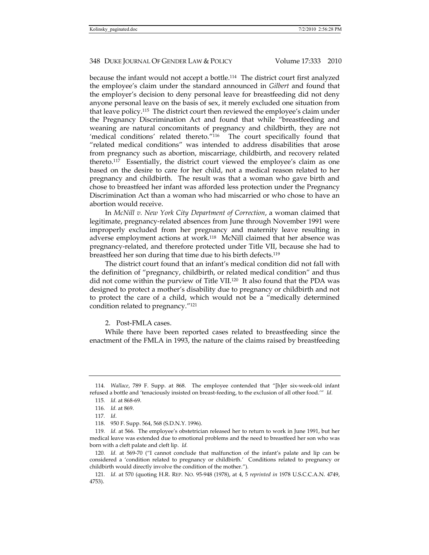because the infant would not accept a bottle.114 The district court first analyzed the employee's claim under the standard announced in *Gilbert* and found that the employer's decision to deny personal leave for breastfeeding did not deny anyone personal leave on the basis of sex, it merely excluded one situation from that leave policy.115 The district court then reviewed the employee's claim under the Pregnancy Discrimination Act and found that while "breastfeeding and weaning are natural concomitants of pregnancy and childbirth, they are not 'medical conditions' related thereto."<sup>116</sup> The court specifically found that "related medical conditions" was intended to address disabilities that arose from pregnancy such as abortion, miscarriage, childbirth, and recovery related thereto.117 Essentially, the district court viewed the employee's claim as one based on the desire to care for her child, not a medical reason related to her pregnancy and childbirth. The result was that a woman who gave birth and chose to breastfeed her infant was afforded less protection under the Pregnancy Discrimination Act than a woman who had miscarried or who chose to have an abortion would receive.

In *McNill v. New York City Department of Correction*, a woman claimed that legitimate, pregnancy-related absences from June through November 1991 were improperly excluded from her pregnancy and maternity leave resulting in adverse employment actions at work.118 McNill claimed that her absence was pregnancy-related, and therefore protected under Title VII, because she had to breastfeed her son during that time due to his birth defects.119

The district court found that an infant's medical condition did not fall with the definition of "pregnancy, childbirth, or related medical condition" and thus did not come within the purview of Title VII.<sup>120</sup> It also found that the PDA was designed to protect a mother's disability due to pregnancy or childbirth and not to protect the care of a child, which would not be a "medically determined condition related to pregnancy."121

## 2. Post-FMLA cases.

While there have been reported cases related to breastfeeding since the enactment of the FMLA in 1993, the nature of the claims raised by breastfeeding

<sup>114</sup>*. Wallace*, 789 F. Supp. at 868. The employee contended that "[h]er six-week-old infant refused a bottle and 'tenaciously insisted on breast-feeding, to the exclusion of all other food.'" *Id.* 

<sup>115</sup>*. Id.* at 868-69.

<sup>116</sup>*. Id.* at 869.

<sup>117</sup>*. Id*.

 <sup>118. 950</sup> F. Supp. 564, 568 (S.D.N.Y. 1996).

<sup>119</sup>*. Id.* at 566. The employee's obstetrician released her to return to work in June 1991, but her medical leave was extended due to emotional problems and the need to breastfeed her son who was born with a cleft palate and cleft lip. *Id.*

<sup>120</sup>*. Id.* at 569-70 ("I cannot conclude that malfunction of the infant's palate and lip can be considered a 'condition related to pregnancy or childbirth.' Conditions related to pregnancy or childbirth would directly involve the condition of the mother.").

<sup>121</sup>*. Id.* at 570 (quoting H.R. REP. NO. 95-948 (1978), at 4, 5 *reprinted in* 1978 U.S.C.C.A.N. 4749, 4753).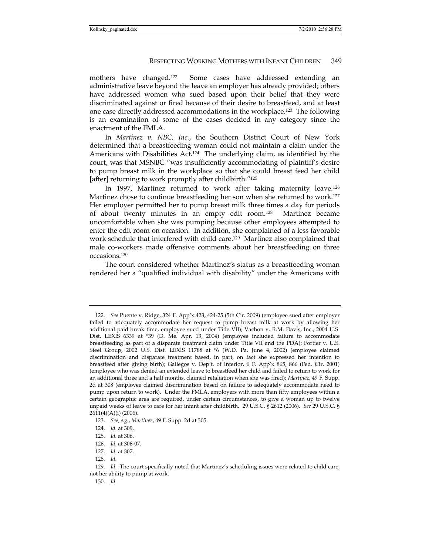mothers have changed.122 Some cases have addressed extending an administrative leave beyond the leave an employer has already provided; others have addressed women who sued based upon their belief that they were discriminated against or fired because of their desire to breastfeed, and at least one case directly addressed accommodations in the workplace.123 The following is an examination of some of the cases decided in any category since the enactment of the FMLA.

In *Martinez v. NBC, Inc.*, the Southern District Court of New York determined that a breastfeeding woman could not maintain a claim under the Americans with Disabilities Act.124 The underlying claim, as identified by the court, was that MSNBC "was insufficiently accommodating of plaintiff's desire to pump breast milk in the workplace so that she could breast feed her child [after] returning to work promptly after childbirth."125

In 1997, Martinez returned to work after taking maternity leave.<sup>126</sup> Martinez chose to continue breastfeeding her son when she returned to work.<sup>127</sup> Her employer permitted her to pump breast milk three times a day for periods of about twenty minutes in an empty edit room.128 Martinez became uncomfortable when she was pumping because other employees attempted to enter the edit room on occasion. In addition, she complained of a less favorable work schedule that interfered with child care.129 Martinez also complained that male co-workers made offensive comments about her breastfeeding on three occasions.130

The court considered whether Martinez's status as a breastfeeding woman rendered her a "qualified individual with disability" under the Americans with

<sup>122</sup>*. See* Puente v. Ridge, 324 F. App'x 423, 424-25 (5th Cir. 2009) (employee sued after employer failed to adequately accommodate her request to pump breast milk at work by allowing her additional paid break time, employee sued under Title VII); Vachon v. R.M. Davis, Inc., 2004 U.S. Dist. LEXIS 6339 at \*39 (D. Me. Apr. 13, 2004) (employee included failure to accommodate breastfeeding as part of a disparate treatment claim under Title VII and the PDA); Fortier v. U.S. Steel Group, 2002 U.S. Dist. LEXIS 11788 at \*6 (W.D. Pa. June 4, 2002) (employee claimed discrimination and disparate treatment based, in part, on fact she expressed her intention to breastfeed after giving birth); Gallegos v. Dep't. of Interior, 6 F. App'x 865, 866 (Fed. Cir. 2001) (employee who was denied an extended leave to breastfeed her child and failed to return to work for an additional three and a half months, claimed retaliation when she was fired); *Martinez*, 49 F. Supp. 2d at 308 (employee claimed discrimination based on failure to adequately accommodate need to pump upon return to work). Under the FMLA, employers with more than fifty employees within a certain geographic area are required, under certain circumstances, to give a woman up to twelve unpaid weeks of leave to care for her infant after childbirth. 29 U.S.C. § 2612 (2006). *See* 29 U.S.C. § 2611(4)(A)(i) (2006).

<sup>123</sup>*. See, e.g.*, *Martinez*, 49 F. Supp. 2d at 305.

<sup>124</sup>*. Id.* at 309.

<sup>125</sup>*. Id.* at 306.

<sup>126</sup>*. Id.* at 306-07.

<sup>127</sup>*. Id.* at 307.

<sup>128</sup>*. Id.*

<sup>129</sup>*. Id.* The court specifically noted that Martinez's scheduling issues were related to child care, not her ability to pump at work.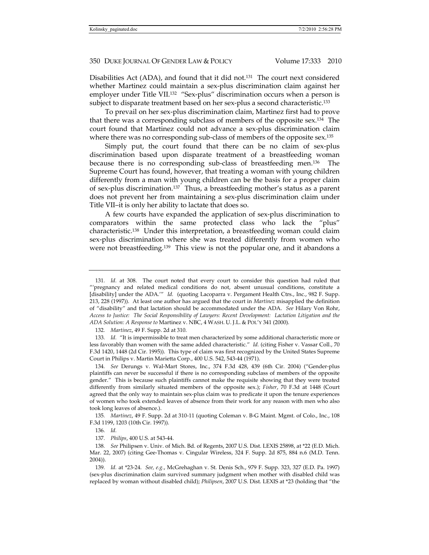Disabilities Act (ADA), and found that it did not.131 The court next considered whether Martinez could maintain a sex-plus discrimination claim against her employer under Title VII.<sup>132</sup> "Sex-plus" discrimination occurs when a person is subject to disparate treatment based on her sex-plus a second characteristic.133

To prevail on her sex-plus discrimination claim, Martinez first had to prove that there was a corresponding subclass of members of the opposite sex.134 The court found that Martinez could not advance a sex-plus discrimination claim where there was no corresponding sub-class of members of the opposite sex.<sup>135</sup>

Simply put, the court found that there can be no claim of sex-plus discrimination based upon disparate treatment of a breastfeeding woman because there is no corresponding sub-class of breastfeeding men.136 The Supreme Court has found, however, that treating a woman with young children differently from a man with young children can be the basis for a proper claim of sex-plus discrimination.137 Thus, a breastfeeding mother's status as a parent does not prevent her from maintaining a sex-plus discrimination claim under Title VII–it is only her ability to lactate that does so.

A few courts have expanded the application of sex-plus discrimination to comparators within the same protected class who lack the "plus" characteristic.138 Under this interpretation, a breastfeeding woman could claim sex-plus discrimination where she was treated differently from women who were not breastfeeding.139 This view is not the popular one, and it abandons a

132*. Martinez*, 49 F. Supp. 2d at 310.

133*. Id.* "It is impermissible to treat men characterized by some additional characteristic more or less favorably than women with the same added characteristic." *Id.* (citing Fisher v. Vassar Coll., 70 F.3d 1420, 1448 (2d Cir. 1995)). This type of claim was first recognized by the United States Supreme Court in Philips v. Martin Marietta Corp., 400 U.S. 542, 543-44 (1971).

134*. See* Derungs v. Wal-Mart Stores, Inc., 374 F.3d 428, 439 (6th Cir. 2004) ("Gender-plus plaintiffs can never be successful if there is no corresponding subclass of members of the opposite gender." This is because such plaintiffs cannot make the requisite showing that they were treated differently from similarly situated members of the opposite sex.); *Fisher*, 70 F.3d at 1448 (Court agreed that the only way to maintain sex-plus claim was to predicate it upon the tenure experiences of women who took extended leaves of absence from their work for any reason with men who also took long leaves of absence.).

135*. Martinez*, 49 F. Supp. 2d at 310-11 (quoting Coleman v. B-G Maint. Mgmt. of Colo., Inc., 108 F.3d 1199, 1203 (10th Cir. 1997)).

136*. Id.*

137*. Philips*, 400 U.S. at 543-44.

138*. See* Philipsen v. Univ. of Mich. Bd. of Regents, 2007 U.S. Dist. LEXIS 25898, at \*22 (E.D. Mich. Mar. 22, 2007) (citing Gee-Thomas v. Cingular Wireless, 324 F. Supp. 2d 875, 884 n.6 (M.D. Tenn. 2004)).

139*. Id.* at \*23-24. *See, e.g.*, McGrehaghan v. St. Denis Sch., 979 F. Supp. 323, 327 (E.D. Pa. 1997) (sex-plus discrimination claim survived summary judgment when mother with disabled child was replaced by woman without disabled child); *Philipsen*, 2007 U.S. Dist. LEXIS at \*23 (holding that "the

<sup>131</sup>*. Id.* at 308. The court noted that every court to consider this question had ruled that "'pregnancy and related medical conditions do not, absent unusual conditions, constitute a [disability] under the ADA.'" *Id.* (quoting Lacoparra v. Pergament Health Ctrs., Inc., 982 F. Supp. 213, 228 (1997)). At least one author has argued that the court in *Martinez* misapplied the definition of "disability" and that lactation should be accommodated under the ADA. *See* Hilary Von Rohr, *Access to Justice: The Social Responsibility of Lawyers: Recent Development: Lactation Litigation and the ADA Solution: A Response to* Martinez v. NBC, 4 WASH. U. J.L. & POL'Y 341 (2000).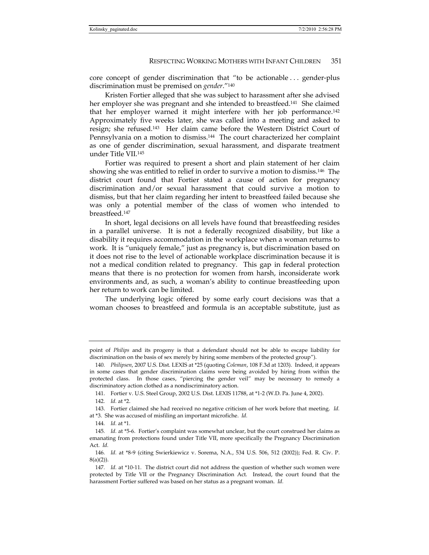core concept of gender discrimination that "to be actionable . . . gender-plus discrimination must be premised on *gender*."140

Kristen Fortier alleged that she was subject to harassment after she advised her employer she was pregnant and she intended to breastfeed.<sup>141</sup> She claimed that her employer warned it might interfere with her job performance.142 Approximately five weeks later, she was called into a meeting and asked to resign; she refused.143 Her claim came before the Western District Court of Pennsylvania on a motion to dismiss.<sup>144</sup> The court characterized her complaint as one of gender discrimination, sexual harassment, and disparate treatment under Title VII.145

Fortier was required to present a short and plain statement of her claim showing she was entitled to relief in order to survive a motion to dismiss.146 The district court found that Fortier stated a cause of action for pregnancy discrimination and/or sexual harassment that could survive a motion to dismiss, but that her claim regarding her intent to breastfeed failed because she was only a potential member of the class of women who intended to breastfeed.147

In short, legal decisions on all levels have found that breastfeeding resides in a parallel universe. It is not a federally recognized disability, but like a disability it requires accommodation in the workplace when a woman returns to work. It is "uniquely female," just as pregnancy is, but discrimination based on it does not rise to the level of actionable workplace discrimination because it is not a medical condition related to pregnancy. This gap in federal protection means that there is no protection for women from harsh, inconsiderate work environments and, as such, a woman's ability to continue breastfeeding upon her return to work can be limited.

The underlying logic offered by some early court decisions was that a woman chooses to breastfeed and formula is an acceptable substitute, just as

point of *Philips* and its progeny is that a defendant should not be able to escape liability for discrimination on the basis of sex merely by hiring some members of the protected group").

<sup>140</sup>*. Philipsen*, 2007 U.S. Dist. LEXIS at \*25 (quoting *Coleman*, 108 F.3d at 1203). Indeed, it appears in some cases that gender discrimination claims were being avoided by hiring from within the protected class. In those cases, "piercing the gender veil" may be necessary to remedy a discriminatory action clothed as a nondiscriminatory action.

 <sup>141.</sup> Fortier v. U.S. Steel Group, 2002 U.S. Dist. LEXIS 11788, at \*1-2 (W.D. Pa. June 4, 2002).

<sup>142</sup>*. Id.* at \*2.

 <sup>143.</sup> Fortier claimed she had received no negative criticism of her work before that meeting. *Id.* at \*3. She was accused of misfiling an important microfiche. *Id.*

<sup>144</sup>*. Id.* at \*1.

<sup>145</sup>*. Id.* at \*5-6. Fortier's complaint was somewhat unclear, but the court construed her claims as emanating from protections found under Title VII, more specifically the Pregnancy Discrimination Act. *Id.*

<sup>146</sup>*. Id.* at \*8-9 (citing Swierkiewicz v. Sorema, N.A., 534 U.S. 506, 512 (2002)); Fed. R. Civ. P. 8(a)(2)).

<sup>147</sup>*. Id.* at \*10-11. The district court did not address the question of whether such women were protected by Title VII or the Pregnancy Discrimination Act. Instead, the court found that the harassment Fortier suffered was based on her status as a pregnant woman. *Id.*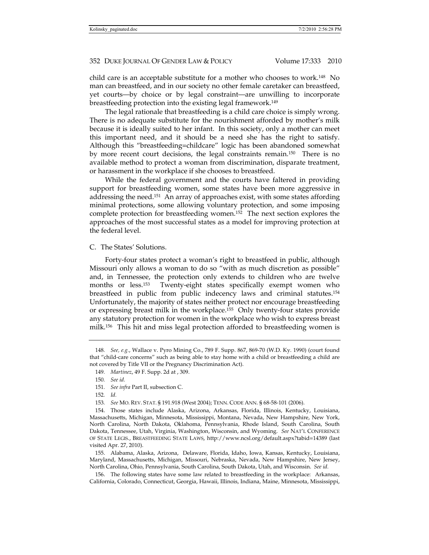child care is an acceptable substitute for a mother who chooses to work.148 No man can breastfeed, and in our society no other female caretaker can breastfeed, yet courts—by choice or by legal constraint—are unwilling to incorporate breastfeeding protection into the existing legal framework.149

The legal rationale that breastfeeding is a child care choice is simply wrong. There is no adequate substitute for the nourishment afforded by mother's milk because it is ideally suited to her infant. In this society, only a mother can meet this important need, and it should be a need she has the right to satisfy. Although this "breastfeeding=childcare" logic has been abandoned somewhat by more recent court decisions, the legal constraints remain.<sup>150</sup> There is no available method to protect a woman from discrimination, disparate treatment, or harassment in the workplace if she chooses to breastfeed.

While the federal government and the courts have faltered in providing support for breastfeeding women, some states have been more aggressive in addressing the need.151 An array of approaches exist, with some states affording minimal protections, some allowing voluntary protection, and some imposing complete protection for breastfeeding women.152 The next section explores the approaches of the most successful states as a model for improving protection at the federal level.

C. The States' Solutions.

Forty-four states protect a woman's right to breastfeed in public, although Missouri only allows a woman to do so "with as much discretion as possible" and, in Tennessee, the protection only extends to children who are twelve months or less.<sup>153</sup> Twenty-eight states specifically exempt women who breastfeed in public from public indecency laws and criminal statutes.154 Unfortunately, the majority of states neither protect nor encourage breastfeeding or expressing breast milk in the workplace.155 Only twenty-four states provide any statutory protection for women in the workplace who wish to express breast milk.156 This hit and miss legal protection afforded to breastfeeding women is

 155. Alabama, Alaska, Arizona, Delaware, Florida, Idaho, Iowa, Kansas, Kentucky, Louisiana, Maryland, Massachusetts, Michigan, Missouri, Nebraska, Nevada, New Hampshire, New Jersey, North Carolina, Ohio, Pennsylvania, South Carolina, South Dakota, Utah, and Wisconsin. *See id.*

 156. The following states have some law related to breastfeeding in the workplace: Arkansas, California, Colorado, Connecticut, Georgia, Hawaii, Illinois, Indiana, Maine, Minnesota, Mississippi,

<sup>148</sup>*. See, e.g.*, Wallace v. Pyro Mining Co., 789 F. Supp. 867, 869-70 (W.D. Ky. 1990) (court found that "child-care concerns" such as being able to stay home with a child or breastfeeding a child are not covered by Title VII or the Pregnancy Discrimination Act).

<sup>149</sup>*. Martinez*, 49 F. Supp. 2d at , 309.

<sup>150</sup>*. See id.*

<sup>151</sup>*. See infra* Part II, subsection C.

<sup>152</sup>*. Id.*

<sup>153</sup>*. See* MO. REV. STAT. § 191.918 (West 2004); TENN. CODE ANN. § 68-58-101 (2006).

 <sup>154.</sup> Those states include Alaska, Arizona, Arkansas, Florida, Illinois, Kentucky, Louisiana, Massachusetts, Michigan, Minnesota, Mississippi, Montana, Nevada, New Hampshire, New York, North Carolina, North Dakota, Oklahoma, Pennsylvania, Rhode Island, South Carolina, South Dakota, Tennessee, Utah, Virginia, Washington, Wisconsin, and Wyoming. *See* NAT'L CONFERENCE OF STATE LEGIS., BREASTFEEDING STATE LAWS, http://www.ncsl.org/default.aspx?tabid=14389 (last visited Apr. 27, 2010).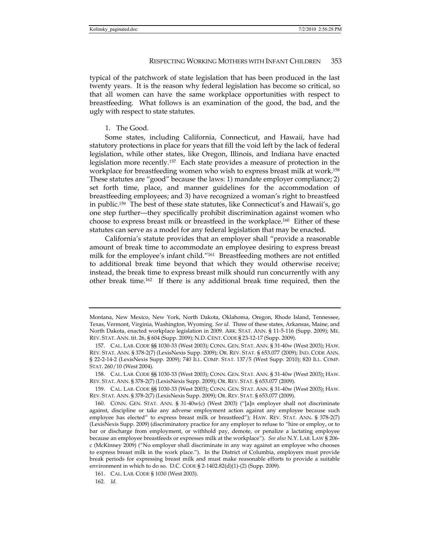typical of the patchwork of state legislation that has been produced in the last twenty years. It is the reason why federal legislation has become so critical, so that all women can have the same workplace opportunities with respect to breastfeeding. What follows is an examination of the good, the bad, and the ugly with respect to state statutes.

## 1. The Good.

Some states, including California, Connecticut, and Hawaii, have had statutory protections in place for years that fill the void left by the lack of federal legislation, while other states, like Oregon, Illinois, and Indiana have enacted legislation more recently.157 Each state provides a measure of protection in the workplace for breastfeeding women who wish to express breast milk at work.158 These statutes are "good" because the laws: 1) mandate employer compliance; 2) set forth time, place, and manner guidelines for the accommodation of breastfeeding employees; and 3) have recognized a woman's right to breastfeed in public.159 The best of these state statutes, like Connecticut's and Hawaii's, go one step further—they specifically prohibit discrimination against women who choose to express breast milk or breastfeed in the workplace.160 Either of these statutes can serve as a model for any federal legislation that may be enacted.

California's statute provides that an employer shall "provide a reasonable amount of break time to accommodate an employee desiring to express breast milk for the employee's infant child."161 Breastfeeding mothers are not entitled to additional break time beyond that which they would otherwise receive; instead, the break time to express breast milk should run concurrently with any other break time.162 If there is any additional break time required, then the

Montana, New Mexico, New York, North Dakota, Oklahoma, Oregon, Rhode Island, Tennessee, Texas, Vermont, Virginia, Washington, Wyoming. *See id.* Three of these states, Arkansas, Maine, and North Dakota, enacted workplace legislation in 2009. ARK. STAT. ANN. § 11-5-116 (Supp. 2009); ME. REV. STAT. ANN. tit. 26, § 604 (Supp. 2009); N.D. CENT. CODE § 23-12-17 (Supp. 2009).

 <sup>157.</sup> CAL. LAB. CODE §§ 1030-33 (West 2003); CONN. GEN. STAT. ANN. § 31-40w (West 2003); HAW. REV. STAT. ANN. § 378-2(7) (LexisNexis Supp. 2009); OR. REV. STAT. § 653.077 (2009); IND. CODE ANN. § 22-2-14-2 (LexisNexis Supp. 2009); 740 ILL. COMP. STAT. 137/5 (West Supp. 2010); 820 ILL. COMP. STAT. 260/10 (West 2004).

 <sup>158.</sup> CAL. LAB. CODE §§ 1030-33 (West 2003); CONN. GEN. STAT. ANN. § 31-40w (West 2003); HAW. REV. STAT. ANN. § 378-2(7) (LexisNexis Supp. 2009); OR. REV. STAT. § 653.077 (2009).

 <sup>159.</sup> CAL. LAB. CODE §§ 1030-33 (West 2003); CONN. GEN. STAT. ANN. § 31-40w (West 2003); HAW. REV. STAT. ANN. § 378-2(7) (LexisNexis Supp. 2009); OR. REV. STAT. § 653.077 (2009).

 <sup>160.</sup> CONN. GEN. STAT. ANN. § 31-40w(c) (West 2003) ("[a]n employer shall not discriminate against, discipline or take any adverse employment action against any employee because such employee has elected" to express breast milk or breastfeed"); HAW. REV. STAT. ANN. § 378-2(7) (LexisNexis Supp. 2009) (discriminatory practice for any employer to refuse to "hire or employ, or to bar or discharge from employment, or withhold pay, demote, or penalize a lactating employee because an employee breastfeeds or expresses milk at the workplace"). *See also* N.Y. LAB. LAW § 206 c (McKinney 2009) ("No employer shall discriminate in any way against an employee who chooses to express breast milk in the work place."). In the District of Columbia, employers must provide break periods for expressing breast milk and must make reasonable efforts to provide a suitable environment in which to do so. D.C. CODE § 2-1402.82(d)(1)-(2) (Supp. 2009).

 <sup>161.</sup> CAL. LAB. CODE § 1030 (West 2003).

<sup>162</sup>*. Id.*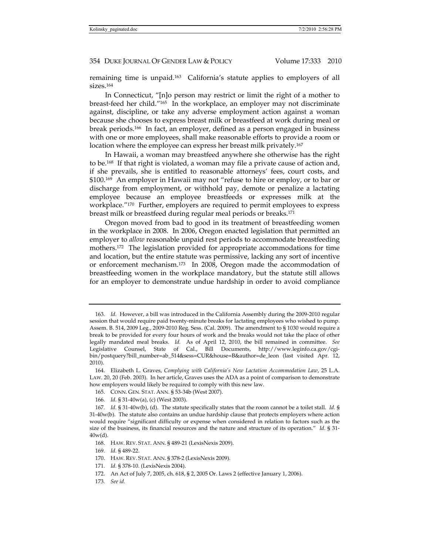remaining time is unpaid.163 California's statute applies to employers of all sizes.164

In Connecticut, "[n]o person may restrict or limit the right of a mother to breast-feed her child."165 In the workplace, an employer may not discriminate against, discipline, or take any adverse employment action against a woman because she chooses to express breast milk or breastfeed at work during meal or break periods.166 In fact, an employer, defined as a person engaged in business with one or more employees, shall make reasonable efforts to provide a room or location where the employee can express her breast milk privately.<sup>167</sup>

In Hawaii, a woman may breastfeed anywhere she otherwise has the right to be.168 If that right is violated, a woman may file a private cause of action and, if she prevails, she is entitled to reasonable attorneys' fees, court costs, and \$100.169 An employer in Hawaii may not "refuse to hire or employ, or to bar or discharge from employment, or withhold pay, demote or penalize a lactating employee because an employee breastfeeds or expresses milk at the workplace."170 Further, employers are required to permit employees to express breast milk or breastfeed during regular meal periods or breaks.171

Oregon moved from bad to good in its treatment of breastfeeding women in the workplace in 2008. In 2006, Oregon enacted legislation that permitted an employer to *allow* reasonable unpaid rest periods to accommodate breastfeeding mothers.172 The legislation provided for appropriate accommodations for time and location, but the entire statute was permissive, lacking any sort of incentive or enforcement mechanism.173 In 2008, Oregon made the accommodation of breastfeeding women in the workplace mandatory, but the statute still allows for an employer to demonstrate undue hardship in order to avoid compliance

171*. Id.* § 378-10. (LexisNexis 2004).

173*. See id.*

<sup>163</sup>*. Id.* However, a bill was introduced in the California Assembly during the 2009-2010 regular session that would require paid twenty-minute breaks for lactating employees who wished to pump. Assem. B. 514, 2009 Leg., 2009-2010 Reg. Sess. (Cal. 2009). The amendment to § 1030 would require a break to be provided for every four hours of work and the breaks would not take the place of other legally mandated meal breaks. *Id.* As of April 12, 2010, the bill remained in committee. *See* Legislative Counsel, State of Cal., Bill Documents, http://www.leginfo.ca.gov/cgibin/postquery?bill\_number=ab\_514&sess=CUR&house=B&author=de\_leon (last visited Apr. 12, 2010).

 <sup>164.</sup> Elizabeth L. Graves, *Complying with California's New Lactation Accommodation Law*, 25 L.A. LAW. 20, 20 (Feb. 2003). In her article, Graves uses the ADA as a point of comparison to demonstrate how employers would likely be required to comply with this new law.

 <sup>165.</sup> CONN. GEN. STAT. ANN. § 53-34b (West 2007).

<sup>166</sup>*. Id.* § 31-40w(a), (c) (West 2003).

<sup>167</sup>*. Id.* § 31-40w(b), (d). The statute specifically states that the room cannot be a toilet stall. *Id.* § 31-40w(b). The statute also contains an undue hardship clause that protects employers where action would require "significant difficulty or expense when considered in relation to factors such as the size of the business, its financial resources and the nature and structure of its operation." *Id*. § 31- 40w(d).

 <sup>168.</sup> HAW. REV. STAT. ANN. § 489-21 (LexisNexis 2009).

<sup>169</sup>*. Id.* § 489-22.

 <sup>170.</sup> HAW. REV. STAT. ANN. § 378-2 (LexisNexis 2009).

 <sup>172.</sup> An Act of July 7, 2005, ch. 618, § 2, 2005 Or. Laws 2 (effective January 1, 2006).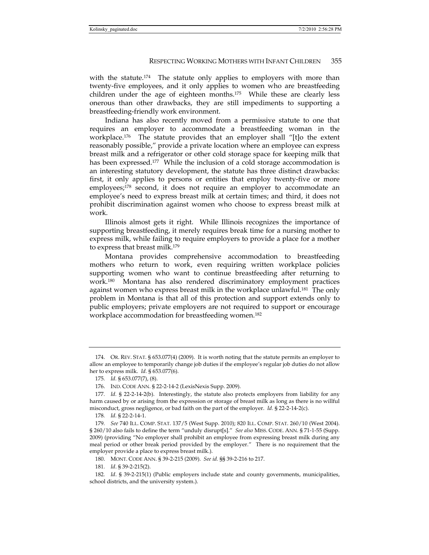with the statute.<sup>174</sup> The statute only applies to employers with more than twenty-five employees, and it only applies to women who are breastfeeding children under the age of eighteen months.175 While these are clearly less onerous than other drawbacks, they are still impediments to supporting a breastfeeding-friendly work environment.

Indiana has also recently moved from a permissive statute to one that requires an employer to accommodate a breastfeeding woman in the workplace.<sup>176</sup> The statute provides that an employer shall "[t]o the extent reasonably possible," provide a private location where an employee can express breast milk and a refrigerator or other cold storage space for keeping milk that has been expressed.<sup>177</sup> While the inclusion of a cold storage accommodation is an interesting statutory development, the statute has three distinct drawbacks: first, it only applies to persons or entities that employ twenty-five or more employees;<sup>178</sup> second, it does not require an employer to accommodate an employee's need to express breast milk at certain times; and third, it does not prohibit discrimination against women who choose to express breast milk at work.

Illinois almost gets it right. While Illinois recognizes the importance of supporting breastfeeding, it merely requires break time for a nursing mother to express milk, while failing to require employers to provide a place for a mother to express that breast milk.179

Montana provides comprehensive accommodation to breastfeeding mothers who return to work, even requiring written workplace policies supporting women who want to continue breastfeeding after returning to work.180 Montana has also rendered discriminatory employment practices against women who express breast milk in the workplace unlawful.181 The only problem in Montana is that all of this protection and support extends only to public employers; private employers are not required to support or encourage workplace accommodation for breastfeeding women.182

 <sup>174.</sup> OR. REV. STAT. § 653.077(4) (2009). It is worth noting that the statute permits an employer to allow an employee to temporarily change job duties if the employee's regular job duties do not allow her to express milk. *Id.* § 653.077(6).

<sup>175</sup>*. Id.* § 653.077(7), (8).

 <sup>176.</sup> IND. CODE ANN. § 22-2-14-2 (LexisNexis Supp. 2009).

<sup>177</sup>*. Id.* § 22-2-14-2(b). Interestingly, the statute also protects employers from liability for any harm caused by or arising from the expression or storage of breast milk as long as there is no willful misconduct, gross negligence, or bad faith on the part of the employer. *Id.* § 22-2-14-2(c).

<sup>178</sup>*. Id.* § 22-2-14-1.

<sup>179</sup>*. See* 740 ILL. COMP. STAT. 137/5 (West Supp. 2010); 820 ILL. COMP. STAT. 260/10 (West 2004). § 260/10 also fails to define the term "unduly disrupt[s]." *See also* MISS. CODE. ANN. § 71-1-55 (Supp. 2009) (providing "No employer shall prohibit an employee from expressing breast milk during any meal period or other break period provided by the employer." There is no requirement that the employer provide a place to express breast milk.).

 <sup>180.</sup> MONT. CODE ANN. § 39-2-215 (2009). *See id.* §§ 39-2-216 to 217.

<sup>181</sup>*. Id*. § 39-2-215(2).

<sup>182</sup>*. Id*. § 39-2-215(1) (Public employers include state and county governments, municipalities, school districts, and the university system.).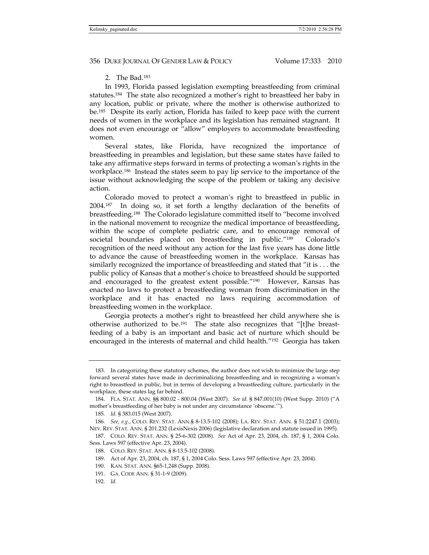# 2. The Bad.183

In 1993, Florida passed legislation exempting breastfeeding from criminal statutes.184 The state also recognized a mother's right to breastfeed her baby in any location, public or private, where the mother is otherwise authorized to be.185 Despite its early action, Florida has failed to keep pace with the current needs of women in the workplace and its legislation has remained stagnant. It does not even encourage or "allow" employers to accommodate breastfeeding women.

Several states, like Florida, have recognized the importance of breastfeeding in preambles and legislation, but these same states have failed to take any affirmative steps forward in terms of protecting a woman's rights in the workplace.186 Instead the states seem to pay lip service to the importance of the issue without acknowledging the scope of the problem or taking any decisive action.

Colorado moved to protect a woman's right to breastfeed in public in 2004.187 In doing so, it set forth a lengthy declaration of the benefits of breastfeeding.188 The Colorado legislature committed itself to "become involved in the national movement to recognize the medical importance of breastfeeding, within the scope of complete pediatric care, and to encourage removal of societal boundaries placed on breastfeeding in public."189 Colorado's recognition of the need without any action for the last five years has done little to advance the cause of breastfeeding women in the workplace. Kansas has similarly recognized the importance of breastfeeding and stated that "it is . . . the public policy of Kansas that a mother's choice to breastfeed should be supported and encouraged to the greatest extent possible."190 However, Kansas has enacted no laws to protect a breastfeeding woman from discrimination in the workplace and it has enacted no laws requiring accommodation of breastfeeding women in the workplace.

Georgia protects a mother's right to breastfeed her child anywhere she is otherwise authorized to be.191 The state also recognizes that "[t]he breastfeeding of a baby is an important and basic act of nurture which should be encouraged in the interests of maternal and child health."192 Georgia has taken

 <sup>183.</sup> In categorizing these statutory schemes, the author does not wish to minimize the large step forward several states have made in decriminalizing breastfeeding and in recognizing a woman's right to breastfeed in public, but in terms of developing a breastfeeding culture, particularly in the workplace, these states lag far behind.

 <sup>184.</sup> FLA. STAT. ANN. §§ 800.02 - 800.04 (West 2007). *See id.* § 847.001(10) (West Supp. 2010) ("A mother's breastfeeding of her baby is not under any circumstance 'obscene.'").

<sup>185</sup>*. Id.* § 383.015 (West 2007).

<sup>186</sup>*. See, e.g.*, COLO. REV. STAT. ANN.§ 8-13.5-102 (2008); LA. REV. STAT. ANN. § 51:2247.1 (2003); NEV. REV. STAT. ANN. § 201.232 (LexisNexis 2006) (legislative declaration and statute issued in 1995).

 <sup>187.</sup> COLO. REV. STAT. ANN. § 25-6-302 (2008). *See* Act of Apr. 23, 2004, ch. 187, § 1, 2004 Colo. Sess. Laws 597 (effective Apr. 23, 2004).

 <sup>188.</sup> COLO. REV. STAT. ANN. § 8-13.5-102 (2008).

 <sup>189.</sup> Act of Apr. 23, 2004, ch. 187, § 1, 2004 Colo. Sess. Laws 597 (effective Apr. 23, 2004).

 <sup>190.</sup> KAN. STAT. ANN. §65-1,248 (Supp. 2008).

 <sup>191.</sup> GA. CODE ANN. § 31-1-9 (2009).

<sup>192</sup>*. Id.*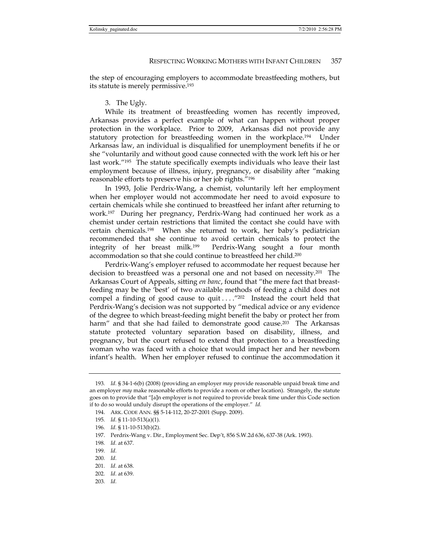the step of encouraging employers to accommodate breastfeeding mothers, but its statute is merely permissive.193

#### 3. The Ugly.

While its treatment of breastfeeding women has recently improved, Arkansas provides a perfect example of what can happen without proper protection in the workplace. Prior to 2009, Arkansas did not provide any statutory protection for breastfeeding women in the workplace.194 Under Arkansas law, an individual is disqualified for unemployment benefits if he or she "voluntarily and without good cause connected with the work left his or her last work."<sup>195</sup> The statute specifically exempts individuals who leave their last employment because of illness, injury, pregnancy, or disability after "making reasonable efforts to preserve his or her job rights."196

In 1993, Jolie Perdrix-Wang, a chemist, voluntarily left her employment when her employer would not accommodate her need to avoid exposure to certain chemicals while she continued to breastfeed her infant after returning to work.197 During her pregnancy, Perdrix-Wang had continued her work as a chemist under certain restrictions that limited the contact she could have with certain chemicals.198 When she returned to work, her baby's pediatrician recommended that she continue to avoid certain chemicals to protect the integrity of her breast milk.199 Perdrix-Wang sought a four month accommodation so that she could continue to breastfeed her child.200

Perdrix-Wang's employer refused to accommodate her request because her decision to breastfeed was a personal one and not based on necessity.201 The Arkansas Court of Appeals, sitting *en banc*, found that "the mere fact that breastfeeding may be the 'best' of two available methods of feeding a child does not compel a finding of good cause to quit  $\dots$ .  $\frac{7202}{2}$  Instead the court held that Perdrix-Wang's decision was not supported by "medical advice or any evidence of the degree to which breast-feeding might benefit the baby or protect her from harm" and that she had failed to demonstrate good cause.<sup>203</sup> The Arkansas statute protected voluntary separation based on disability, illness, and pregnancy, but the court refused to extend that protection to a breastfeeding woman who was faced with a choice that would impact her and her newborn infant's health. When her employer refused to continue the accommodation it

- 201*. Id.* at 638.
- 202*. Id.* at 639.
- 203*. Id.*

<sup>193</sup>*. Id.* § 34-1-6(b) (2008) (providing an employer *may* provide reasonable unpaid break time and an employer *may* make reasonable efforts to provide a room or other location). Strangely, the statute goes on to provide that "[a]n employer is not required to provide break time under this Code section if to do so would unduly disrupt the operations of the employer." *Id.*

 <sup>194.</sup> ARK. CODE ANN. §§ 5-14-112, 20-27-2001 (Supp. 2009).

<sup>195</sup>*. Id.* § 11-10-513(a)(1).

<sup>196</sup>*. Id.* § 11-10-513(b)(2).

 <sup>197.</sup> Perdrix-Wang v. Dir., Employment Sec. Dep't, 856 S.W.2d 636, 637-38 (Ark. 1993).

<sup>198</sup>*. Id.* at 637.

<sup>199</sup>*. Id.*

<sup>200</sup>*. Id.*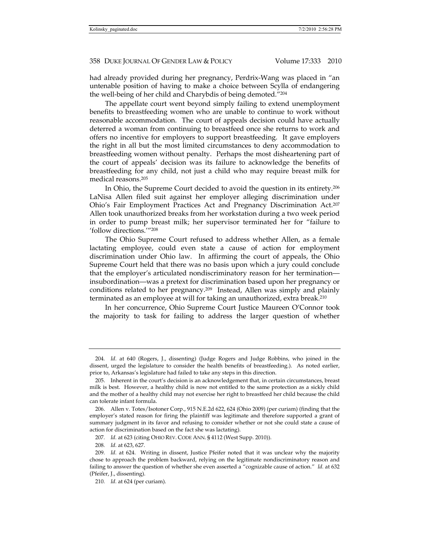had already provided during her pregnancy, Perdrix-Wang was placed in "an untenable position of having to make a choice between Scylla of endangering the well-being of her child and Charybdis of being demoted."204

The appellate court went beyond simply failing to extend unemployment benefits to breastfeeding women who are unable to continue to work without reasonable accommodation. The court of appeals decision could have actually deterred a woman from continuing to breastfeed once she returns to work and offers no incentive for employers to support breastfeeding. It gave employers the right in all but the most limited circumstances to deny accommodation to breastfeeding women without penalty. Perhaps the most disheartening part of the court of appeals' decision was its failure to acknowledge the benefits of breastfeeding for any child, not just a child who may require breast milk for medical reasons.205

In Ohio, the Supreme Court decided to avoid the question in its entirety.206 LaNisa Allen filed suit against her employer alleging discrimination under Ohio's Fair Employment Practices Act and Pregnancy Discrimination Act.207 Allen took unauthorized breaks from her workstation during a two week period in order to pump breast milk; her supervisor terminated her for "failure to 'follow directions.'"208

The Ohio Supreme Court refused to address whether Allen, as a female lactating employee, could even state a cause of action for employment discrimination under Ohio law. In affirming the court of appeals, the Ohio Supreme Court held that there was no basis upon which a jury could conclude that the employer's articulated nondiscriminatory reason for her termination insubordination—was a pretext for discrimination based upon her pregnancy or conditions related to her pregnancy.209 Instead, Allen was simply and plainly terminated as an employee at will for taking an unauthorized, extra break.210

In her concurrence, Ohio Supreme Court Justice Maureen O'Connor took the majority to task for failing to address the larger question of whether

<sup>204</sup>*. Id.* at 640 (Rogers, J., dissenting) (Judge Rogers and Judge Robbins, who joined in the dissent, urged the legislature to consider the health benefits of breastfeeding.). As noted earlier, prior to, Arkansas's legislature had failed to take any steps in this direction.

 <sup>205.</sup> Inherent in the court's decision is an acknowledgement that, in certain circumstances, breast milk is best. However, a healthy child is now not entitled to the same protection as a sickly child and the mother of a healthy child may not exercise her right to breastfeed her child because the child can tolerate infant formula.

 <sup>206.</sup> Allen v. Totes/Isotoner Corp., 915 N.E.2d 622, 624 (Ohio 2009) (per curiam) (finding that the employer's stated reason for firing the plaintiff was legitimate and therefore supported a grant of summary judgment in its favor and refusing to consider whether or not she could state a cause of action for discrimination based on the fact she was lactating).

<sup>207</sup>*. Id.* at 623 (citing OHIO REV. CODE ANN. § 4112 (West Supp. 2010)).

<sup>208</sup>*. Id.* at 623, 627.

<sup>209</sup>*. Id.* at 624. Writing in dissent, Justice Pfeifer noted that it was unclear why the majority chose to approach the problem backward, relying on the legitimate nondiscriminatory reason and failing to answer the question of whether she even asserted a "cognizable cause of action." *Id.* at 632 (Pfeifer, J., dissenting).

<sup>210</sup>*. Id.* at 624 (per curiam).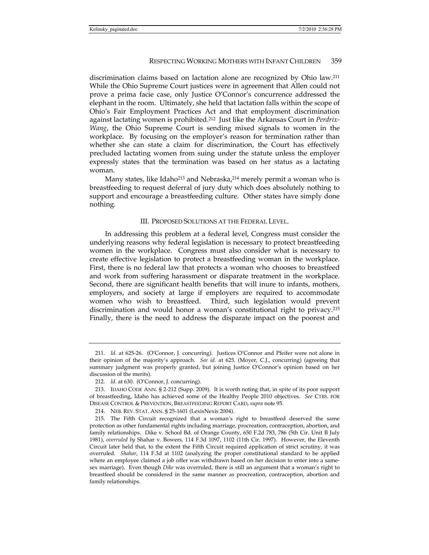discrimination claims based on lactation alone are recognized by Ohio law.211 While the Ohio Supreme Court justices were in agreement that Allen could not prove a prima facie case, only Justice O'Connor's concurrence addressed the elephant in the room. Ultimately, she held that lactation falls within the scope of Ohio's Fair Employment Practices Act and that employment discrimination against lactating women is prohibited.212 Just like the Arkansas Court in *Perdrix-Wang*, the Ohio Supreme Court is sending mixed signals to women in the workplace. By focusing on the employer's reason for termination rather than whether she can state a claim for discrimination, the Court has effectively precluded lactating women from suing under the statute unless the employer expressly states that the termination was based on her status as a lactating woman.

Many states, like Idaho<sup>213</sup> and Nebraska,<sup>214</sup> merely permit a woman who is breastfeeding to request deferral of jury duty which does absolutely nothing to support and encourage a breastfeeding culture. Other states have simply done nothing.

## III. PROPOSED SOLUTIONS AT THE FEDERAL LEVEL.

In addressing this problem at a federal level, Congress must consider the underlying reasons why federal legislation is necessary to protect breastfeeding women in the workplace. Congress must also consider what is necessary to create effective legislation to protect a breastfeeding woman in the workplace. First, there is no federal law that protects a woman who chooses to breastfeed and work from suffering harassment or disparate treatment in the workplace. Second, there are significant health benefits that will inure to infants, mothers, employers, and society at large if employers are required to accommodate women who wish to breastfeed. Third, such legislation would prevent discrimination and would honor a woman's constitutional right to privacy.215 Finally, there is the need to address the disparate impact on the poorest and

<sup>211</sup>*. Id.* at 625-26. (O'Connor, J. concurring). Justices O'Connor and Pfeifer were not alone in their opinion of the majority's approach. *See id.* at 625. (Moyer, C.J., concurring) (agreeing that summary judgment was properly granted, but joining Justice O'Connor's opinion based on her discussion of the merits).

<sup>212</sup>*. Id.* at 630. (O'Connor, J. concurring).

 <sup>213.</sup> IDAHO CODE ANN. § 2-212 (Supp. 2009). It is worth noting that, in spite of its poor support of breastfeeding, Idaho has achieved some of the Healthy People 2010 objectives. *See* CTRS. FOR DISEASE CONTROL & PREVENTION, BREASTFEEDING REPORT CARD, *supra* note 95.

 <sup>214.</sup> NEB. REV. STAT. ANN. § 25-1601 (LexisNexis 2004).

 <sup>215.</sup> The Fifth Circuit recognized that a woman's right to breastfeed deserved the same protection as other fundamental rights including marriage, procreation, contraception, abortion, and family relationships. Dike v. School Bd. of Orange County, 650 F.2d 783, 786 (5th Cir. Unit B July 1981), *overruled by* Shahar v. Bowers*,* 114 F.3d 1097, 1102 (11th Cir. 1997). However, the Eleventh Circuit later held that, to the extent the Fifth Circuit required application of strict scrutiny, it was overruled. *Shahar*, 114 F.3d at 1102 (analyzing the proper constitutional standard to be applied where an employee claimed a job offer was withdrawn based on her decision to enter into a samesex marriage). Even though *Dike* was overruled, there is still an argument that a woman's right to breastfeed should be considered in the same manner as procreation, contraception, abortion and family relationships.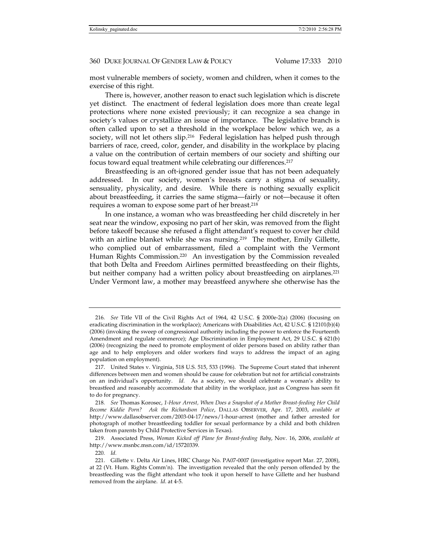most vulnerable members of society, women and children, when it comes to the exercise of this right.

There is, however, another reason to enact such legislation which is discrete yet distinct. The enactment of federal legislation does more than create legal protections where none existed previously; it can recognize a sea change in society's values or crystallize an issue of importance. The legislative branch is often called upon to set a threshold in the workplace below which we, as a society, will not let others slip.<sup>216</sup> Federal legislation has helped push through barriers of race, creed, color, gender, and disability in the workplace by placing a value on the contribution of certain members of our society and shifting our focus toward equal treatment while celebrating our differences.217

Breastfeeding is an oft-ignored gender issue that has not been adequately addressed. In our society, women's breasts carry a stigma of sexuality, sensuality, physicality, and desire. While there is nothing sexually explicit about breastfeeding, it carries the same stigma—fairly or not—because it often requires a woman to expose some part of her breast.218

In one instance, a woman who was breastfeeding her child discretely in her seat near the window, exposing no part of her skin, was removed from the flight before takeoff because she refused a flight attendant's request to cover her child with an airline blanket while she was nursing.<sup>219</sup> The mother, Emily Gillette, who complied out of embarrassment, filed a complaint with the Vermont Human Rights Commission.220 An investigation by the Commission revealed that both Delta and Freedom Airlines permitted breastfeeding on their flights, but neither company had a written policy about breastfeeding on airplanes.<sup>221</sup> Under Vermont law, a mother may breastfeed anywhere she otherwise has the

 219. Associated Press, *Woman Kicked off Plane for Breast-feeding Baby*, Nov. 16, 2006, *available at* http://www.msnbc.msn.com/id/15720339.

220*. Id.*

<sup>216</sup>*. See* Title VII of the Civil Rights Act of 1964, 42 U.S.C. § 2000e-2(a) (2006) (focusing on eradicating discrimination in the workplace); Americans with Disabilities Act, 42 U.S.C. § 12101(b)(4) (2006) (invoking the sweep of congressional authority including the power to enforce the Fourteenth Amendment and regulate commerce); Age Discrimination in Employment Act, 29 U.S.C. § 621(b) (2006) (recognizing the need to promote employment of older persons based on ability rather than age and to help employers and older workers find ways to address the impact of an aging population on employment).

 <sup>217.</sup> United States v. Virginia, 518 U.S. 515, 533 (1996). The Supreme Court stated that inherent differences between men and women should be cause for celebration but not for artificial constraints on an individual's opportunity. *Id.* As a society, we should celebrate a woman's ability to breastfeed and reasonably accommodate that ability in the workplace, just as Congress has seen fit to do for pregnancy.

<sup>218</sup>*. See* Thomas Korosec, *1-Hour Arrest, When Does a Snapshot of a Mother Breast-feeding Her Child Become Kiddie Porn? Ask the Richardson Police*, DALLAS OBSERVER, Apr. 17, 2003, *available at*  http://www.dallasobserver.com/2003-04-17/news/1-hour-arrest (mother and father arrested for photograph of mother breastfeeding toddler for sexual performance by a child and both children taken from parents by Child Protective Services in Texas).

 <sup>221.</sup> Gillette v. Delta Air Lines, HRC Charge No. PA07-0007 (investigative report Mar. 27, 2008), at 22 (Vt. Hum. Rights Comm'n). The investigation revealed that the only person offended by the breastfeeding was the flight attendant who took it upon herself to have Gillette and her husband removed from the airplane. *Id*. at 4-5.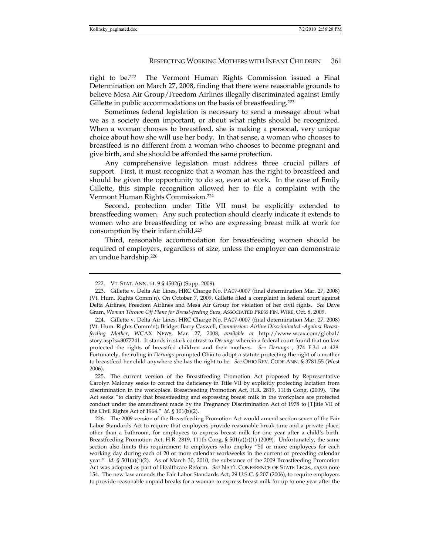right to be.222 The Vermont Human Rights Commission issued a Final Determination on March 27, 2008, finding that there were reasonable grounds to believe Mesa Air Group/Freedom Airlines illegally discriminated against Emily Gillette in public accommodations on the basis of breastfeeding.<sup>223</sup>

Sometimes federal legislation is necessary to send a message about what we as a society deem important, or about what rights should be recognized. When a woman chooses to breastfeed, she is making a personal, very unique choice about how she will use her body. In that sense, a woman who chooses to breastfeed is no different from a woman who chooses to become pregnant and give birth, and she should be afforded the same protection.

Any comprehensive legislation must address three crucial pillars of support. First, it must recognize that a woman has the right to breastfeed and should be given the opportunity to do so, even at work. In the case of Emily Gillette, this simple recognition allowed her to file a complaint with the Vermont Human Rights Commission.224

Second, protection under Title VII must be explicitly extended to breastfeeding women. Any such protection should clearly indicate it extends to women who are breastfeeding or who are expressing breast milk at work for consumption by their infant child.225

Third, reasonable accommodation for breastfeeding women should be required of employers, regardless of size, unless the employer can demonstrate an undue hardship.226

 225. The current version of the Breastfeeding Promotion Act proposed by Representative Carolyn Maloney seeks to correct the deficiency in Title VII by explicitly protecting lactation from discrimination in the workplace. Breastfeeding Promotion Act, H.R. 2819, 111th Cong. (2009). The Act seeks "to clarify that breastfeeding and expressing breast milk in the workplace are protected conduct under the amendment made by the Pregnancy Discrimination Act of 1978 to [T]itle VII of the Civil Rights Act of 1964." *Id.* § 101(b)(2).

 226. The 2009 version of the Breastfeeding Promotion Act would amend section seven of the Fair Labor Standards Act to require that employers provide reasonable break time and a private place, other than a bathroom, for employees to express breast milk for one year after a child's birth. Breastfeeding Promotion Act, H.R. 2819, 111th Cong. § 501(a)(r)(1) (2009). Unfortunately, the same section also limits this requirement to employers who employ "50 or more employees for each working day during each of 20 or more calendar workweeks in the current or preceding calendar year." *Id.* § 501(a)(r)(2). As of March 30, 2010, the substance of the 2009 Breastfeeding Promotion Act was adopted as part of Healthcare Reform. *See* NAT'L CONFERENCE OF STATE LEGIS., *supra* note 154. The new law amends the Fair Labor Standards Act, 29 U.S.C. § 207 (2006), to require employers to provide reasonable unpaid breaks for a woman to express breast milk for up to one year after the

 <sup>222.</sup> VT. STAT. ANN. tit. 9 § 4502(j) (Supp. 2009).

 <sup>223.</sup> Gillette v. Delta Air Lines, HRC Charge No. PA07-0007 (final determination Mar. 27, 2008) (Vt. Hum. Rights Comm'n). On October 7, 2009, Gillette filed a complaint in federal court against Delta Airlines, Freedom Airlines and Mesa Air Group for violation of her civil rights. *See* Dave Gram, *Woman Thrown Off Plane for Breast-feeding Sues*, ASSOCIATED PRESS FIN. WIRE, Oct. 8, 2009.

 <sup>224.</sup> Gillette v. Delta Air Lines, HRC Charge No. PA07-0007 (final determination Mar. 27, 2008) (Vt. Hum. Rights Comm'n); Bridget Barry Caswell, *Commission: Airline Discriminated -Against Breastfeeding Mother*, WCAX NEWS, Mar. 27, 2008, *available at* http://www.wcax.com/global/ story.asp?s=8077241. It stands in stark contrast to *Derungs* wherein a federal court found that no law protected the rights of breastfed children and their mothers. *See Derungs* , 374 F.3d at 428. Fortunately, the ruling in *Derungs* prompted Ohio to adopt a statute protecting the right of a mother to breastfeed her child anywhere she has the right to be. *See* OHIO REV. CODE ANN. § 3781.55 (West 2006).